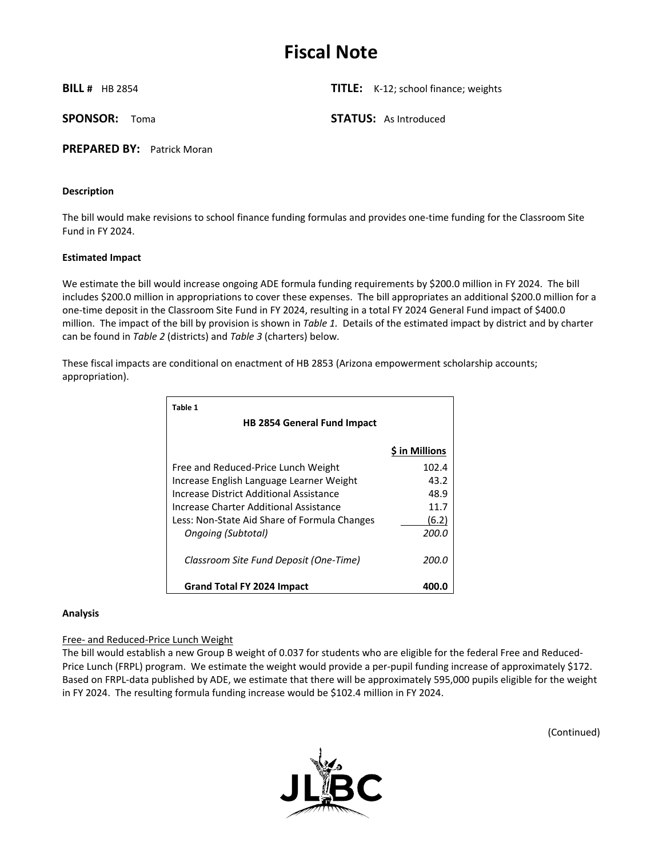# **Fiscal Note**

**BILL #** HB 2854 **TITLE:** K-12; school finance; weights

**SPONSOR:** Toma **STATUS:** As Introduced

**PREPARED BY:** Patrick Moran

#### **Description**

The bill would make revisions to school finance funding formulas and provides one-time funding for the Classroom Site Fund in FY 2024.

#### **Estimated Impact**

We estimate the bill would increase ongoing ADE formula funding requirements by \$200.0 million in FY 2024. The bill includes \$200.0 million in appropriations to cover these expenses. The bill appropriates an additional \$200.0 million for a one-time deposit in the Classroom Site Fund in FY 2024, resulting in a total FY 2024 General Fund impact of \$400.0 million. The impact of the bill by provision is shown in *Table 1.* Details of the estimated impact by district and by charter can be found in *Table 2* (districts) and *Table 3* (charters) below.

These fiscal impacts are conditional on enactment of HB 2853 (Arizona empowerment scholarship accounts; appropriation).

| Table 1                                      |                |
|----------------------------------------------|----------------|
| <b>HB 2854 General Fund Impact</b>           |                |
|                                              | \$ in Millions |
| Free and Reduced-Price Lunch Weight          | 102.4          |
| Increase English Language Learner Weight     | 43.2           |
| Increase District Additional Assistance      | 48.9           |
| Increase Charter Additional Assistance       | 11.7           |
| Less: Non-State Aid Share of Formula Changes | (6.2)          |
| Ongoing (Subtotal)                           | 200.0          |
| Classroom Site Fund Deposit (One-Time)       | 200.0          |
| Grand Total FY 2024 Impact                   | 400.0          |

#### **Analysis**

#### Free- and Reduced-Price Lunch Weight

The bill would establish a new Group B weight of 0.037 for students who are eligible for the federal Free and Reduced-Price Lunch (FRPL) program. We estimate the weight would provide a per-pupil funding increase of approximately \$172. Based on FRPL-data published by ADE, we estimate that there will be approximately 595,000 pupils eligible for the weight in FY 2024. The resulting formula funding increase would be \$102.4 million in FY 2024.



(Continued)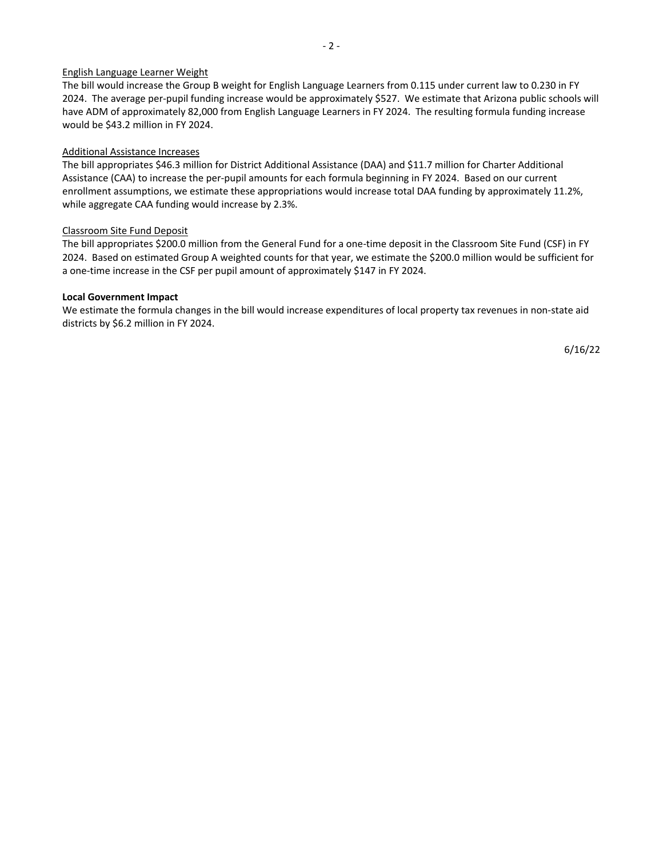#### English Language Learner Weight

The bill would increase the Group B weight for English Language Learners from 0.115 under current law to 0.230 in FY 2024. The average per-pupil funding increase would be approximately \$527. We estimate that Arizona public schools will have ADM of approximately 82,000 from English Language Learners in FY 2024. The resulting formula funding increase would be \$43.2 million in FY 2024.

#### Additional Assistance Increases

The bill appropriates \$46.3 million for District Additional Assistance (DAA) and \$11.7 million for Charter Additional Assistance (CAA) to increase the per-pupil amounts for each formula beginning in FY 2024. Based on our current enrollment assumptions, we estimate these appropriations would increase total DAA funding by approximately 11.2%, while aggregate CAA funding would increase by 2.3%.

#### Classroom Site Fund Deposit

The bill appropriates \$200.0 million from the General Fund for a one-time deposit in the Classroom Site Fund (CSF) in FY 2024. Based on estimated Group A weighted counts for that year, we estimate the \$200.0 million would be sufficient for a one-time increase in the CSF per pupil amount of approximately \$147 in FY 2024.

#### **Local Government Impact**

We estimate the formula changes in the bill would increase expenditures of local property tax revenues in non-state aid districts by \$6.2 million in FY 2024.

6/16/22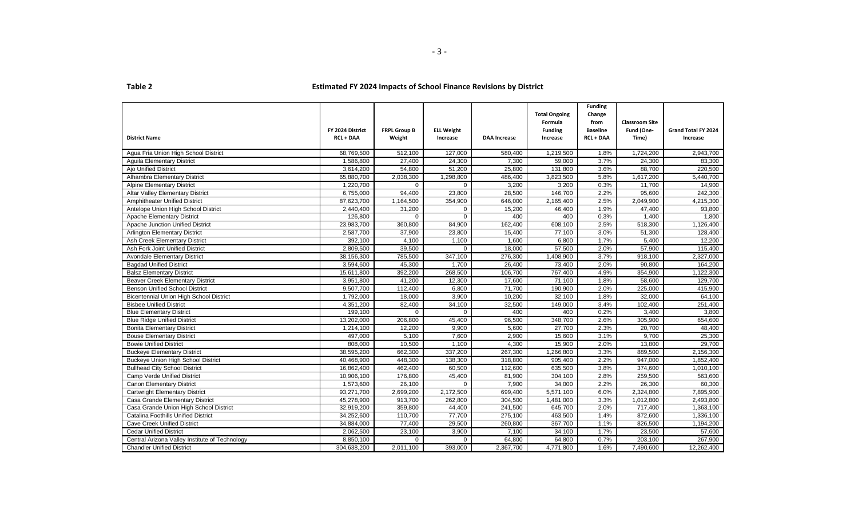|                                                |                  |                     |                   |                     | <b>Total Ongoing</b> | <b>Funding</b><br>Change |                       |                     |
|------------------------------------------------|------------------|---------------------|-------------------|---------------------|----------------------|--------------------------|-----------------------|---------------------|
|                                                |                  |                     |                   |                     | Formula              | from                     | <b>Classroom Site</b> |                     |
|                                                | FY 2024 District | <b>FRPL Group B</b> | <b>ELL Weight</b> |                     | <b>Funding</b>       | <b>Baseline</b>          | Fund (One-            | Grand Total FY 2024 |
| <b>District Name</b>                           | <b>RCL + DAA</b> | Weight              | Increase          | <b>DAA Increase</b> | Increase             | <b>RCL + DAA</b>         | Time)                 | Increase            |
|                                                |                  |                     |                   |                     |                      |                          |                       |                     |
| Agua Fria Union High School District           | 68,769,500       | 512,100             | 127,000           | 580,400             | 1,219,500            | 1.8%                     | 1,724,200             | 2,943,700           |
| <b>Aquila Elementary District</b>              | 1,586,800        | 27,400              | 24,300            | 7,300               | 59,000               | 3.7%                     | 24,300                | 83.300              |
| <b>Ajo Unified District</b>                    | 3,614,200        | 54,800              | 51,200            | 25,800              | 131,800              | 3.6%                     | 88,700                | 220,500             |
| Alhambra Elementary District                   | 65,880,700       | 2,038,300           | 1,298,800         | 486,400             | 3,823,500            | 5.8%                     | 1,617,200             | 5,440,700           |
| <b>Alpine Elementary District</b>              | 1,220,700        | $\Omega$            | $\Omega$          | 3,200               | 3,200                | 0.3%                     | 11,700                | 14,900              |
| <b>Altar Valley Elementary District</b>        | 6,755,000        | 94,400              | 23,800            | 28,500              | 146,700              | 2.2%                     | 95,600                | 242,300             |
| Amphitheater Unified District                  | 87,623,700       | 1,164,500           | 354,900           | 646,000             | 2,165,400            | 2.5%                     | 2,049,900             | 4,215,300           |
| Antelope Union High School District            | 2,440,400        | 31,200              | $\mathbf 0$       | 15,200              | 46,400               | 1.9%                     | 47,400                | 93,800              |
| Apache Elementary District                     | 126,800          | $\Omega$            | $\Omega$          | 400                 | 400                  | 0.3%                     | 1,400                 | 1,800               |
| Apache Junction Unified District               | 23,983,700       | 360,800             | 84,900            | 162,400             | 608,100              | 2.5%                     | 518,300               | 1,126,400           |
| <b>Arlington Elementary District</b>           | 2,587,700        | 37,900              | 23,800            | 15,400              | 77,100               | 3.0%                     | 51,300                | 128,400             |
| Ash Creek Elementary District                  | 392.100          | 4.100               | 1,100             | 1,600               | 6,800                | 1.7%                     | 5.400                 | 12.200              |
| Ash Fork Joint Unified District                | 2,809,500        | 39,500              | $\Omega$          | 18,000              | 57,500               | 2.0%                     | 57,900                | 115,400             |
| <b>Avondale Elementary District</b>            | 38,156,300       | 785,500             | 347,100           | 276,300             | 1,408,900            | 3.7%                     | 918,100               | 2,327,000           |
| <b>Bagdad Unified District</b>                 | 3,594,600        | 45,300              | 1,700             | 26,400              | 73,400               | 2.0%                     | 90,800                | 164,200             |
| <b>Balsz Elementary District</b>               | 15,611,800       | 392,200             | 268,500           | 106,700             | 767,400              | 4.9%                     | 354,900               | 1,122,300           |
| <b>Beaver Creek Elementary District</b>        | 3,951,800        | 41,200              | 12,300            | 17,600              | 71,100               | 1.8%                     | 58,600                | 129,700             |
| <b>Benson Unified School District</b>          | 9,507,700        | 112,400             | 6,800             | 71,700              | 190,900              | 2.0%                     | 225,000               | 415,900             |
| <b>Bicentennial Union High School District</b> | 1,792,000        | 18,000              | 3,900             | 10,200              | 32.100               | 1.8%                     | 32.000                | 64,100              |
| <b>Bisbee Unified District</b>                 | 4,351,200        | 82,400              | 34,100            | 32,500              | 149,000              | 3.4%                     | 102,400               | 251,400             |
| <b>Blue Elementary District</b>                | 199,100          | $\Omega$            | $\Omega$          | 400                 | 400                  | 0.2%                     | 3,400                 | 3,800               |
| <b>Blue Ridge Unified District</b>             | 13,202,000       | 206,800             | 45,400            | 96,500              | 348,700              | 2.6%                     | 305,900               | 654,600             |
| <b>Bonita Elementary District</b>              | 1,214,100        | 12,200              | 9,900             | 5,600               | 27,700               | 2.3%                     | 20,700                | 48,400              |
| <b>Bouse Elementary District</b>               | 497,000          | 5,100               | 7,600             | 2,900               | 15,600               | 3.1%                     | 9,700                 | 25,300              |
| <b>Bowie Unified District</b>                  | 808,000          | 10,500              | 1,100             | 4,300               | 15,900               | 2.0%                     | 13,800                | 29,700              |
| <b>Buckeye Elementary District</b>             | 38,595,200       | 662,300             | 337,200           | 267,300             | 1,266,800            | 3.3%                     | 889,500               | 2,156,300           |
| Buckeye Union High School District             | 40,468,900       | 448,300             | 138,300           | 318,800             | 905,400              | 2.2%                     | 947,000               | 1,852,400           |
| <b>Bullhead City School District</b>           | 16,862,400       | 462,400             | 60,500            | 112,600             | 635,500              | 3.8%                     | 374,600               | 1,010,100           |
| <b>Camp Verde Unified District</b>             | 10,906,100       | 176,800             | 45,400            | 81,900              | 304,100              | 2.8%                     | 259,500               | 563,600             |
| <b>Canon Elementary District</b>               | 1,573,600        | 26,100              | $\overline{0}$    | 7,900               | 34,000               | 2.2%                     | 26,300                | 60,300              |
| Cartwright Elementary District                 | 93,271,700       | 2,699,200           | 2,172,500         | 699,400             | 5,571,100            | 6.0%                     | 2,324,800             | 7,895,900           |
| Casa Grande Elementary District                | 45,278,900       | 913,700             | 262,800           | 304,500             | 1,481,000            | 3.3%                     | 1,012,800             | 2,493,800           |
| Casa Grande Union High School District         | 32,919,200       | 359,800             | 44,400            | 241,500             | 645,700              | 2.0%                     | 717,400               | 1,363,100           |
| Catalina Foothills Unified District            | 34,252,600       | 110,700             | 77,700            | 275,100             | 463,500              | 1.4%                     | 872,600               | 1,336,100           |
| <b>Cave Creek Unified District</b>             | 34,884,000       | 77,400              | 29,500            | 260,800             | 367,700              | 1.1%                     | 826,500               | 1,194,200           |
| <b>Cedar Unified District</b>                  | 2,062,500        | 23,100              | 3,900             | 7,100               | 34,100               | 1.7%                     | 23,500                | 57,600              |
| Central Arizona Valley Institute of Technology | 8,850,100        | $\mathbf{0}$        | $\overline{0}$    | 64,800              | 64,800               | 0.7%                     | 203,100               | 267,900             |
| <b>Chandler Unified District</b>               | 304,638,200      | 2,011,100           | 393,000           | 2,367,700           | 4,771,800            | 1.6%                     | 7,490,600             | 12,262,400          |
|                                                |                  |                     |                   |                     |                      |                          |                       |                     |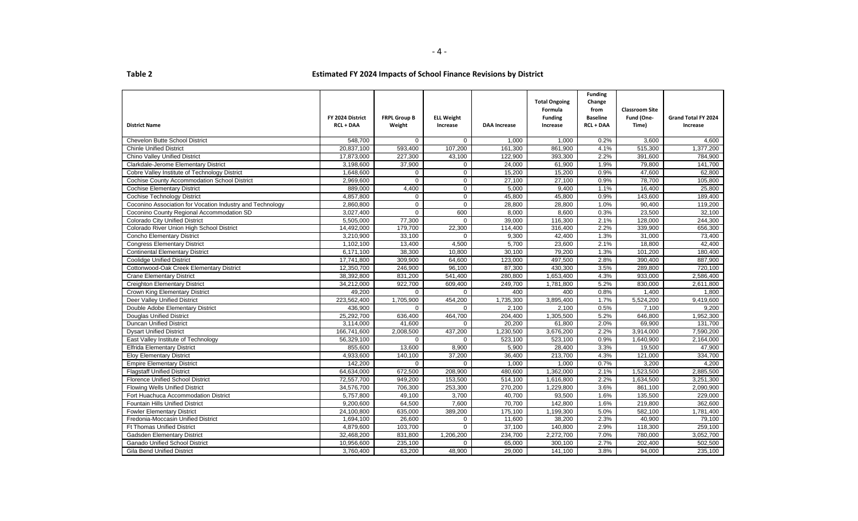| <b>District Name</b>                                      | FY 2024 District<br><b>RCL + DAA</b> | <b>FRPL Group B</b><br>Weight | <b>ELL Weight</b><br>Increase | <b>DAA Increase</b> | <b>Total Ongoing</b><br>Formula<br><b>Funding</b><br>Increase | <b>Funding</b><br>Change<br>from<br><b>Baseline</b><br><b>RCL + DAA</b> | <b>Classroom Site</b><br>Fund (One-<br>Time) | Grand Total FY 2024<br>Increase |
|-----------------------------------------------------------|--------------------------------------|-------------------------------|-------------------------------|---------------------|---------------------------------------------------------------|-------------------------------------------------------------------------|----------------------------------------------|---------------------------------|
| Chevelon Butte School District                            | 548,700                              | $\mathbf 0$                   | $\overline{0}$                | 1,000               | 1,000                                                         | 0.2%                                                                    | 3,600                                        | 4,600                           |
| <b>Chinle Unified District</b>                            | 20,837,100                           | 593,400                       | 107,200                       | 161,300             | 861,900                                                       | 4.1%                                                                    | 515,300                                      | 1,377,200                       |
| Chino Valley Unified District                             | 17,873,000                           | 227,300                       | 43,100                        | 122,900             | 393,300                                                       | 2.2%                                                                    | 391,600                                      | 784.900                         |
| Clarkdale-Jerome Elementary District                      | 3,198,600                            | 37,900                        | $\mathbf{0}$                  | 24,000              | 61,900                                                        | 1.9%                                                                    | 79,800                                       | 141,700                         |
| Cobre Valley Institute of Technology District             | 1,648,600                            | $\mathbf 0$                   | $\mathbf 0$                   | 15,200              | 15,200                                                        | 0.9%                                                                    | 47,600                                       | 62,800                          |
| <b>Cochise County Accommodation School District</b>       | 2,969,600                            | $\Omega$                      | $\mathbf 0$                   | 27,100              | 27,100                                                        | 0.9%                                                                    | 78,700                                       | 105,800                         |
| <b>Cochise Elementary District</b>                        | 889,000                              | 4,400                         | $\overline{0}$                | 5,000               | 9,400                                                         | 1.1%                                                                    | 16,400                                       | 25,800                          |
| <b>Cochise Technology District</b>                        | 4,857,800                            | $\mathbf 0$                   | $\mathbf 0$                   | 45,800              | 45,800                                                        | 0.9%                                                                    | 143,600                                      | 189,400                         |
| Coconino Association for Vocation Industry and Technology | 2,860,800                            | $\mathbf 0$                   | $\Omega$                      | 28,800              | 28,800                                                        | 1.0%                                                                    | 90,400                                       | 119,200                         |
| Coconino County Regional Accommodation SD                 | 3,027,400                            | $\mathbf 0$                   | 600                           | 8,000               | 8,600                                                         | 0.3%                                                                    | 23,500                                       | 32,100                          |
| <b>Colorado City Unified District</b>                     | 5,505,000                            | 77,300                        | $\Omega$                      | 39,000              | 116,300                                                       | 2.1%                                                                    | 128,000                                      | 244,300                         |
| Colorado River Union High School District                 | 14,492,000                           | 179,700                       | 22,300                        | 114,400             | 316,400                                                       | 2.2%                                                                    | 339,900                                      | 656,300                         |
| <b>Concho Elementary District</b>                         | 3,210,900                            | 33,100                        | $\Omega$                      | 9,300               | 42,400                                                        | 1.3%                                                                    | 31,000                                       | 73,400                          |
| <b>Congress Elementary District</b>                       | 1,102,100                            | 13,400                        | 4,500                         | 5,700               | 23,600                                                        | 2.1%                                                                    | 18,800                                       | 42,400                          |
| <b>Continental Elementary District</b>                    | 6,171,100                            | 38,300                        | 10,800                        | 30,100              | 79,200                                                        | 1.3%                                                                    | 101,200                                      | 180,400                         |
| <b>Coolidge Unified District</b>                          | 17,741,800                           | 309,900                       | 64,600                        | 123,000             | 497,500                                                       | 2.8%                                                                    | 390,400                                      | 887,900                         |
| Cottonwood-Oak Creek Elementary District                  | 12,350,700                           | 246,900                       | 96,100                        | 87,300              | 430,300                                                       | 3.5%                                                                    | 289,800                                      | 720,100                         |
| <b>Crane Elementary District</b>                          | 38,392,800                           | 831,200                       | 541,400                       | 280,800             | 1,653,400                                                     | 4.3%                                                                    | 933,000                                      | 2,586,400                       |
| <b>Creighton Elementary District</b>                      | 34,212,000                           | 922,700                       | 609,400                       | 249,700             | 1,781,800                                                     | 5.2%                                                                    | 830,000                                      | 2,611,800                       |
| <b>Crown King Elementary District</b>                     | 49,200                               | $\mathbf 0$                   | $\Omega$                      | 400                 | 400                                                           | 0.8%                                                                    | 1,400                                        | 1,800                           |
| Deer Valley Unified District                              | 223,562,400                          | 1,705,900                     | 454,200                       | 1,735,300           | 3,895,400                                                     | 1.7%                                                                    | 5,524,200                                    | 9,419,600                       |
| Double Adobe Elementary District                          | 436,900                              | $\Omega$                      | $\Omega$                      | 2.100               | 2.100                                                         | 0.5%                                                                    | 7,100                                        | 9.200                           |
| <b>Douglas Unified District</b>                           | 25,292,700                           | 636,400                       | 464,700                       | 204,400             | 1,305,500                                                     | 5.2%                                                                    | 646,800                                      | 1,952,300                       |
| <b>Duncan Unified District</b>                            | 3,114,000                            | 41,600                        | $\mathbf 0$                   | 20,200              | 61,800                                                        | 2.0%                                                                    | 69,900                                       | 131,700                         |
| <b>Dysart Unified District</b>                            | 166,741,600                          | 2,008,500                     | 437,200                       | 1,230,500           | 3,676,200                                                     | 2.2%                                                                    | 3,914,000                                    | 7,590,200                       |
| East Valley Institute of Technology                       | 56,329,100                           | $\Omega$                      | $\Omega$                      | 523,100             | 523,100                                                       | 0.9%                                                                    | 1,640,900                                    | 2,164,000                       |
| <b>Elfrida Elementary District</b>                        | 855,600                              | 13,600                        | 8,900                         | 5,900               | 28,400                                                        | 3.3%                                                                    | 19,500                                       | 47,900                          |
| <b>Eloy Elementary District</b>                           | 4.933.600                            | 140.100                       | 37,200                        | 36,400              | 213.700                                                       | 4.3%                                                                    | 121,000                                      | 334.700                         |
| <b>Empire Elementary District</b>                         | 142,200                              | $\Omega$                      | $\Omega$                      | 1,000               | 1,000                                                         | 0.7%                                                                    | 3,200                                        | 4,200                           |
| <b>Flagstaff Unified District</b>                         | 64,634,000                           | 672,500                       | 208,900                       | 480,600             | 1,362,000                                                     | 2.1%                                                                    | 1,523,500                                    | 2,885,500                       |
| <b>Florence Unified School District</b>                   | 72,557,700                           | 949,200                       | 153,500                       | 514,100             | 1,616,800                                                     | 2.2%                                                                    | 1,634,500                                    | 3,251,300                       |
| <b>Flowing Wells Unified District</b>                     | 34,576,700                           | 706,300                       | 253,300                       | 270,200             | 1,229,800                                                     | 3.6%                                                                    | 861,100                                      | 2,090,900                       |
| Fort Huachuca Accommodation District                      | 5,757,800                            | 49,100                        | 3,700                         | 40,700              | 93,500                                                        | 1.6%                                                                    | 135,500                                      | 229,000                         |
| <b>Fountain Hills Unified District</b>                    | 9,200,600                            | 64,500                        | 7,600                         | 70,700              | 142,800                                                       | 1.6%                                                                    | 219,800                                      | 362,600                         |
| <b>Fowler Elementary District</b>                         | 24,100,800                           | 635,000                       | 389,200                       | 175,100             | 1,199,300                                                     | 5.0%                                                                    | 582,100                                      | 1,781,400                       |
| Fredonia-Moccasin Unified District                        | 1,694,100                            | 26,600                        | $\mathbf 0$                   | 11,600              | 38,200                                                        | 2.3%                                                                    | 40,900                                       | 79,100                          |
| <b>Ft Thomas Unified District</b>                         | 4,879,600                            | 103,700                       | $\mathbf 0$                   | 37,100              | 140,800                                                       | 2.9%                                                                    | 118,300                                      | 259,100                         |
| <b>Gadsden Elementary District</b>                        | 32,468,200                           | 831,800                       | 1,206,200                     | 234,700             | 2,272,700                                                     | 7.0%                                                                    | 780,000                                      | 3,052,700                       |
| <b>Ganado Unified School District</b>                     | 10,956,600                           | 235,100                       | $\Omega$                      | 65,000              | 300,100                                                       | 2.7%                                                                    | 202,400                                      | 502,500                         |
| <b>Gila Bend Unified District</b>                         | 3,760,400                            | 63,200                        | 48,900                        | 29,000              | 141,100                                                       | 3.8%                                                                    | 94,000                                       | 235,100                         |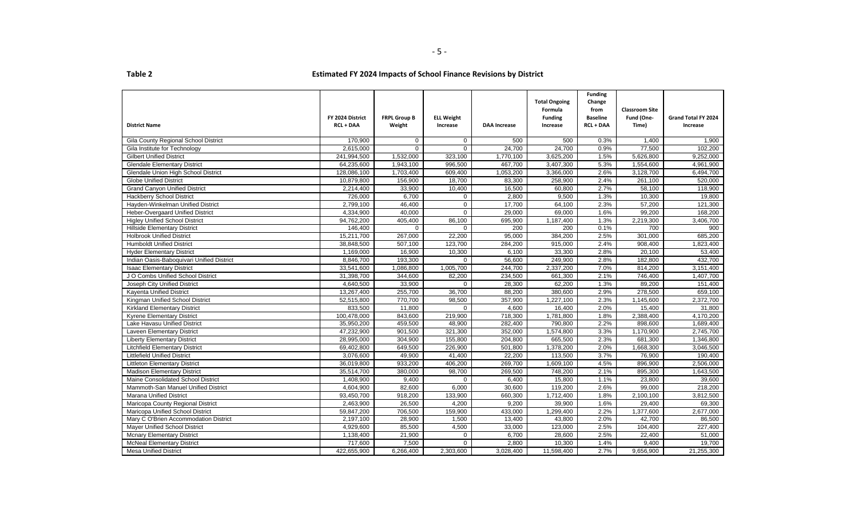|                                           | FY 2024 District | <b>FRPL Group B</b> | <b>ELL Weight</b> |                     | <b>Total Ongoing</b><br>Formula<br><b>Funding</b> | <b>Funding</b><br>Change<br>from<br><b>Baseline</b> | <b>Classroom Site</b><br>Fund (One- | Grand Total FY 2024 |
|-------------------------------------------|------------------|---------------------|-------------------|---------------------|---------------------------------------------------|-----------------------------------------------------|-------------------------------------|---------------------|
| <b>District Name</b>                      | <b>RCL + DAA</b> | Weight              | Increase          | <b>DAA Increase</b> | Increase                                          | <b>RCL + DAA</b>                                    | Time)                               | Increase            |
| Gila County Regional School District      | 170,900          | $\mathbf{0}$        | $\mathbf 0$       | 500                 | 500                                               | 0.3%                                                | 1,400                               | 1,900               |
| Gila Institute for Technology             | 2,615,000        | $\Omega$            | $\mathbf 0$       | 24,700              | 24,700                                            | 0.9%                                                | 77,500                              | 102,200             |
| <b>Gilbert Unified District</b>           | 241,994,500      | 1,532,000           | 323,100           | 1,770,100           | 3,625,200                                         | 1.5%                                                | 5,626,800                           | 9,252,000           |
| <b>Glendale Elementary District</b>       | 64,235,600       | 1,943,100           | 996,500           | 467,700             | 3,407,300                                         | 5.3%                                                | 1,554,600                           | 4,961,900           |
| Glendale Union High School District       | 128,086,100      | 1,703,400           | 609,400           | 1,053,200           | 3,366,000                                         | 2.6%                                                | 3,128,700                           | 6,494,700           |
| <b>Globe Unified District</b>             | 10,879,800       | 156,900             | 18,700            | 83,300              | 258,900                                           | 2.4%                                                | 261,100                             | 520,000             |
| <b>Grand Canyon Unified District</b>      | 2,214,400        | 33,900              | 10,400            | 16,500              | 60,800                                            | 2.7%                                                | 58,100                              | 118,900             |
| <b>Hackberry School District</b>          | 726,000          | 6.700               | $\mathbf 0$       | 2.800               | 9,500                                             | 1.3%                                                | 10,300                              | 19.800              |
| Hayden-Winkelman Unified District         | 2,799,100        | 46,400              | $\mathbf 0$       | 17,700              | 64,100                                            | 2.3%                                                | 57,200                              | 121,300             |
| Heber-Overgaard Unified District          | 4,334,900        | 40,000              | $\mathbf 0$       | 29,000              | 69,000                                            | 1.6%                                                | 99,200                              | 168,200             |
| <b>Higley Unified School District</b>     | 94,762,200       | 405,400             | 86,100            | 695,900             | 1,187,400                                         | 1.3%                                                | 2,219,300                           | 3,406,700           |
| <b>Hillside Elementary District</b>       | 146,400          | $\mathbf 0$         | $\mathbf 0$       | 200                 | 200                                               | 0.1%                                                | 700                                 | 900                 |
| <b>Holbrook Unified District</b>          | 15,211,700       | 267,000             | 22,200            | 95,000              | 384,200                                           | 2.5%                                                | 301,000                             | 685,200             |
| <b>Humboldt Unified District</b>          | 38,848,500       | 507,100             | 123,700           | 284,200             | 915,000                                           | 2.4%                                                | 908,400                             | 1,823,400           |
| <b>Hyder Elementary District</b>          | 1,169,000        | 16,900              | 10,300            | 6,100               | 33,300                                            | 2.8%                                                | 20,100                              | 53,400              |
| Indian Oasis-Baboquivari Unified District | 8,846,700        | 193,300             | $\mathbf 0$       | 56,600              | 249,900                                           | 2.8%                                                | 182,800                             | 432,700             |
| <b>Isaac Elementary District</b>          | 33,541,600       | 1,086,800           | 1,005,700         | 244,700             | 2,337,200                                         | 7.0%                                                | 814,200                             | 3,151,400           |
| J O Combs Unified School District         | 31,398,700       | 344,600             | 82,200            | 234,500             | 661,300                                           | 2.1%                                                | 746,400                             | 1,407,700           |
| Joseph City Unified District              | 4,640,500        | 33,900              | $\Omega$          | 28,300              | 62,200                                            | 1.3%                                                | 89,200                              | 151,400             |
| <b>Kayenta Unified District</b>           | 13,267,400       | 255.700             | 36,700            | 88.200              | 380.600                                           | 2.9%                                                | 278,500                             | 659.100             |
| Kingman Unified School District           | 52,515,800       | 770,700             | 98,500            | 357,900             | 1,227,100                                         | 2.3%                                                | 1,145,600                           | 2,372,700           |
| <b>Kirkland Elementary District</b>       | 833,500          | 11,800              | $\Omega$          | 4,600               | 16,400                                            | 2.0%                                                | 15,400                              | 31,800              |
| <b>Kyrene Elementary District</b>         | 100,478,000      | 843,600             | 219,900           | 718,300             | 1,781,800                                         | 1.8%                                                | 2,388,400                           | 4,170,200           |
| Lake Havasu Unified District              | 35,950,200       | 459,500             | 48,900            | 282,400             | 790,800                                           | 2.2%                                                | 898,600                             | 1,689,400           |
| <b>Laveen Elementary District</b>         | 47,232,900       | 901,500             | 321,300           | 352,000             | 1,574,800                                         | 3.3%                                                | 1,170,900                           | 2,745,700           |
| <b>Liberty Elementary District</b>        | 28,995,000       | 304,900             | 155,800           | 204,800             | 665,500                                           | 2.3%                                                | 681,300                             | 1,346,800           |
| <b>Litchfield Elementary District</b>     | 69,402,800       | 649,500             | 226,900           | 501,800             | 1,378,200                                         | 2.0%                                                | 1,668,300                           | 3,046,500           |
| <b>Littlefield Unified District</b>       | 3,076,600        | 49,900              | 41,400            | 22,200              | 113,500                                           | 3.7%                                                | 76,900                              | 190,400             |
| <b>Littleton Elementary District</b>      | 36,019,800       | 933,200             | 406,200           | 269,700             | 1,609,100                                         | 4.5%                                                | 896,900                             | 2,506,000           |
| <b>Madison Elementary District</b>        | 35,514,700       | 380,000             | 98,700            | 269,500             | 748,200                                           | 2.1%                                                | 895,300                             | 1,643,500           |
| Maine Consolidated School District        | 1,408,900        | 9,400               | $\Omega$          | 6,400               | 15,800                                            | 1.1%                                                | 23,800                              | 39,600              |
| Mammoth-San Manuel Unified District       | 4,604,900        | 82,600              | 6,000             | 30,600              | 119,200                                           | 2.6%                                                | 99,000                              | 218,200             |
| <b>Marana Unified District</b>            | 93,450,700       | 918,200             | 133,900           | 660,300             | 1,712,400                                         | 1.8%                                                | 2,100,100                           | 3,812,500           |
| Maricopa County Regional District         | 2,463,900        | 26,500              | 4,200             | 9,200               | 39,900                                            | 1.6%                                                | 29,400                              | 69,300              |
| Maricopa Unified School District          | 59,847,200       | 706,500             | 159,900           | 433,000             | 1,299,400                                         | 2.2%                                                | 1,377,600                           | 2,677,000           |
| Mary C O'Brien Accommodation District     | 2,197,100        | 28,900              | 1,500             | 13,400              | 43,800                                            | 2.0%                                                | 42,700                              | 86,500              |
| <b>Mayer Unified School District</b>      | 4,929,600        | 85,500              | 4,500             | 33,000              | 123,000                                           | 2.5%                                                | 104,400                             | 227,400             |
| <b>Mcnary Elementary District</b>         | 1,138,400        | 21,900              | $\mathbf 0$       | 6,700               | 28,600                                            | 2.5%                                                | 22,400                              | 51,000              |
| <b>McNeal Elementary District</b>         | 717,600          | 7,500               | $\Omega$          | 2,800               | 10,300                                            | 1.4%                                                | 9,400                               | 19,700              |
| <b>Mesa Unified District</b>              | 422,655,900      | 6,266,400           | 2,303,600         | 3,028,400           | 11,598,400                                        | 2.7%                                                | 9,656,900                           | 21,255,300          |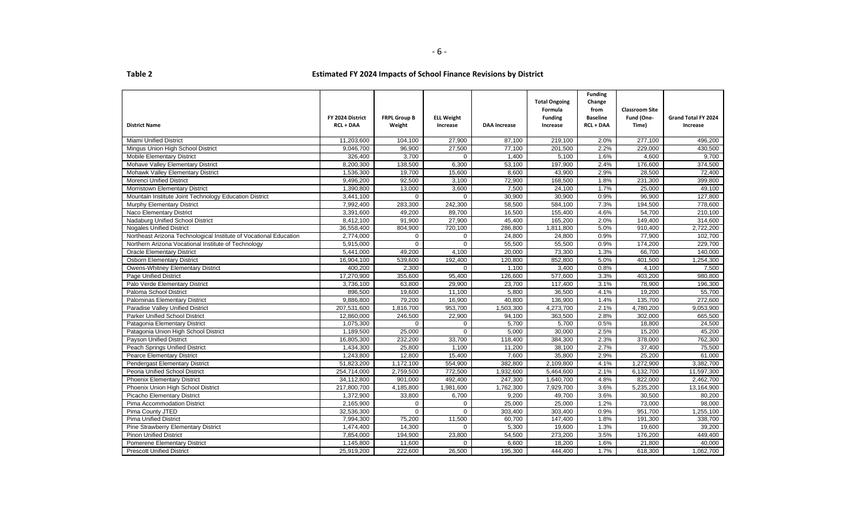| <b>District Name</b>                                              | FY 2024 District<br><b>RCL + DAA</b> | <b>FRPL Group B</b><br>Weight | <b>ELL Weight</b><br>Increase | <b>DAA Increase</b> | <b>Total Ongoing</b><br>Formula<br><b>Funding</b><br>Increase | <b>Funding</b><br>Change<br>from<br><b>Baseline</b><br><b>RCL + DAA</b> | <b>Classroom Site</b><br>Fund (One-<br>Time) | Grand Total FY 2024<br>Increase |
|-------------------------------------------------------------------|--------------------------------------|-------------------------------|-------------------------------|---------------------|---------------------------------------------------------------|-------------------------------------------------------------------------|----------------------------------------------|---------------------------------|
| <b>Miami Unified District</b>                                     | 11,203,600                           | 104,100                       | 27,900                        | 87,100              | 219,100                                                       | 2.0%                                                                    | 277,100                                      | 496,200                         |
| Mingus Union High School District                                 | 9,046,700                            | 96,900                        | 27,500                        | 77,100              | 201,500                                                       | 2.2%                                                                    | 229,000                                      | 430,500                         |
| <b>Mobile Elementary District</b>                                 | 326.400                              | 3.700                         | $\Omega$                      | 1.400               | 5,100                                                         | 1.6%                                                                    | 4.600                                        | 9.700                           |
| Mohave Valley Elementary District                                 | 8,200,300                            | 138,500                       | 6,300                         | 53,100              | 197,900                                                       | 2.4%                                                                    | 176,600                                      | 374,500                         |
| <b>Mohawk Valley Elementary District</b>                          | 1,536,300                            | 19,700                        | 15,600                        | 8,600               | 43,900                                                        | 2.9%                                                                    | 28,500                                       | 72,400                          |
| <b>Morenci Unified District</b>                                   | 9,496,200                            | 92.500                        | 3,100                         | 72,900              | 168,500                                                       | 1.8%                                                                    | 231,300                                      | 399.800                         |
| Morristown Elementary District                                    | 1,390,800                            | 13,000                        | 3,600                         | 7,500               | 24,100                                                        | 1.7%                                                                    | 25,000                                       | 49,100                          |
| Mountain Institute Joint Technology Education District            | 3,441,100                            | $\Omega$                      | $\Omega$                      | 30,900              | 30,900                                                        | 0.9%                                                                    | 96,900                                       | 127,800                         |
| Murphy Elementary District                                        | 7,992,400                            | 283,300                       | 242,300                       | 58,500              | 584,100                                                       | 7.3%                                                                    | 194,500                                      | 778,600                         |
| Naco Elementary District                                          | 3,391,600                            | 49.200                        | 89,700                        | 16,500              | 155,400                                                       | 4.6%                                                                    | 54,700                                       | 210,100                         |
| Nadaburg Unified School District                                  | 8,412,100                            | 91,900                        | 27,900                        | 45,400              | 165,200                                                       | 2.0%                                                                    | 149,400                                      | 314,600                         |
| <b>Nogales Unified District</b>                                   | 36,558,400                           | 804,900                       | 720,100                       | 286,800             | 1,811,800                                                     | 5.0%                                                                    | 910,400                                      | 2,722,200                       |
| Northeast Arizona Technological Institute of Vocational Education | 2,774,000                            | $\mathbf 0$                   | $\mathbf 0$                   | 24,800              | 24,800                                                        | 0.9%                                                                    | 77,900                                       | 102,700                         |
| Northern Arizona Vocational Institute of Technology               | 5,915,000                            | $\Omega$                      | $\Omega$                      | 55,500              | 55,500                                                        | 0.9%                                                                    | 174,200                                      | 229,700                         |
| <b>Oracle Elementary District</b>                                 | 5,441,000                            | 49,200                        | 4,100                         | 20,000              | 73,300                                                        | 1.3%                                                                    | 66,700                                       | 140,000                         |
| <b>Osborn Elementary District</b>                                 | 16,904,100                           | 539,600                       | 192,400                       | 120,800             | 852,800                                                       | 5.0%                                                                    | 401,500                                      | 1,254,300                       |
| Owens-Whitney Elementary District                                 | 400,200                              | 2.300                         | $\Omega$                      | 1.100               | 3,400                                                         | 0.8%                                                                    | 4,100                                        | 7.500                           |
| Page Unified District                                             | 17,270,900                           | 355,600                       | 95,400                        | 126,600             | 577,600                                                       | 3.3%                                                                    | 403,200                                      | 980,800                         |
| Palo Verde Elementary District                                    | 3,736,100                            | 63,800                        | 29,900                        | 23,700              | 117,400                                                       | 3.1%                                                                    | 78,900                                       | 196,300                         |
| Paloma School District                                            | 896,500                              | 19,600                        | 11,100                        | 5,800               | 36,500                                                        | 4.1%                                                                    | 19,200                                       | 55,700                          |
| Palominas Elementary District                                     | 9,886,800                            | 79,200                        | 16,900                        | 40,800              | 136,900                                                       | 1.4%                                                                    | 135,700                                      | 272,600                         |
| Paradise Valley Unified District                                  | 207,531,600                          | 1,816,700                     | 953,700                       | 1,503,300           | 4,273,700                                                     | 2.1%                                                                    | 4,780,200                                    | 9,053,900                       |
| <b>Parker Unified School District</b>                             | 12,860,000                           | 246,500                       | 22,900                        | 94,100              | 363,500                                                       | 2.8%                                                                    | 302,000                                      | 665,500                         |
| Patagonia Elementary District                                     | 1,075,300                            | $\Omega$                      | $\mathbf 0$                   | 5,700               | 5,700                                                         | 0.5%                                                                    | 18,800                                       | 24,500                          |
| Patagonia Union High School District                              | 1,189,500                            | 25,000                        | $\Omega$                      | 5,000               | 30.000                                                        | 2.5%                                                                    | 15,200                                       | 45.200                          |
| Payson Unified District                                           | 16,805,300                           | 232,200                       | 33,700                        | 118,400             | 384,300                                                       | 2.3%                                                                    | 378,000                                      | 762,300                         |
| <b>Peach Springs Unified District</b>                             | 1,434,300                            | 25,800                        | 1,100                         | 11,200              | 38,100                                                        | 2.7%                                                                    | 37,400                                       | 75,500                          |
| <b>Pearce Elementary District</b>                                 | 1,243,800                            | 12,800                        | 15,400                        | 7,600               | 35,800                                                        | 2.9%                                                                    | 25,200                                       | 61,000                          |
| Pendergast Elementary District                                    | 51,823,200                           | 1,172,100                     | 554,900                       | 382,800             | 2,109,800                                                     | 4.1%                                                                    | 1,272,900                                    | 3,382,700                       |
| Peoria Unified School District                                    | 254,714,000                          | 2,759,500                     | 772,500                       | 1,932,600           | 5,464,600                                                     | 2.1%                                                                    | 6,132,700                                    | 11,597,300                      |
| <b>Phoenix Elementary District</b>                                | 34,112,800                           | 901,000                       | 492,400                       | 247,300             | 1,640,700                                                     | 4.8%                                                                    | 822,000                                      | 2,462,700                       |
| Phoenix Union High School District                                | 217,800,700                          | 4,185,800                     | 1,981,600                     | 1,762,300           | 7,929,700                                                     | 3.6%                                                                    | 5,235,200                                    | 13,164,900                      |
| Picacho Elementary District                                       | 1,372,900                            | 33,800                        | 6,700                         | 9,200               | 49,700                                                        | 3.6%                                                                    | 30,500                                       | 80,200                          |
| Pima Accommodation District                                       | 2,165,900                            | $\mathbf 0$                   | $\mathbf 0$                   | 25,000              | 25,000                                                        | 1.2%                                                                    | 73,000                                       | 98,000                          |
| Pima County JTED                                                  | 32,536,300                           | $\Omega$                      | $\Omega$                      | 303,400             | 303,400                                                       | 0.9%                                                                    | 951,700                                      | 1,255,100                       |
| <b>Pima Unified District</b>                                      | 7,994,300                            | 75,200                        | 11,500                        | 60,700              | 147,400                                                       | 1.8%                                                                    | 191,300                                      | 338,700                         |
| Pine Strawberry Elementary District                               | 1,474,400                            | 14,300                        | $\mathbf 0$                   | 5,300               | 19,600                                                        | 1.3%                                                                    | 19,600                                       | 39,200                          |
| <b>Pinon Unified District</b>                                     | 7,854,000                            | 194,900                       | 23,800                        | 54,500              | 273,200                                                       | 3.5%                                                                    | 176,200                                      | 449,400                         |
| <b>Pomerene Elementary District</b>                               | 1,145,800                            | 11,600                        | $\Omega$                      | 6,600               | 18,200                                                        | 1.6%                                                                    | 21,800                                       | 40.000                          |
| <b>Prescott Unified District</b>                                  | 25,919,200                           | 222,600                       | 26,500                        | 195,300             | 444,400                                                       | 1.7%                                                                    | 618,300                                      | 1,062,700                       |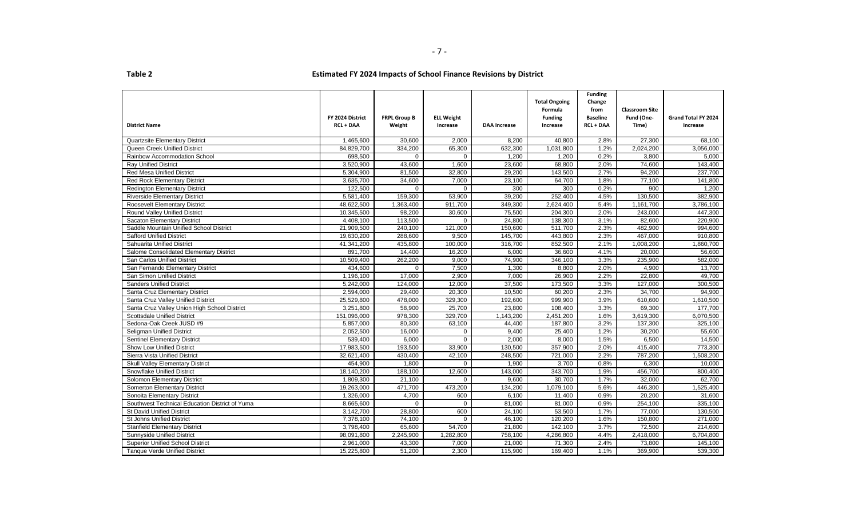|                                                |                  |                     |                   |                     | <b>Total Ongoing</b> | <b>Funding</b><br>Change |                       |                      |
|------------------------------------------------|------------------|---------------------|-------------------|---------------------|----------------------|--------------------------|-----------------------|----------------------|
|                                                |                  |                     |                   |                     | Formula              | from                     | <b>Classroom Site</b> |                      |
|                                                | FY 2024 District | <b>FRPL Group B</b> | <b>ELL Weight</b> |                     | <b>Funding</b>       | <b>Baseline</b>          | Fund (One-            | Grand Total FY 2024  |
| <b>District Name</b>                           | <b>RCL + DAA</b> | Weight              | Increase          | <b>DAA Increase</b> | Increase             | <b>RCL + DAA</b>         | Time)                 | Increase             |
| <b>Quartzsite Elementary District</b>          | 1,465,600        | 30,600              | 2.000             | 8,200               | 40,800               | 2.8%                     | 27,300                | 68,100               |
| Queen Creek Unified District                   | 84,829,700       | 334,200             | 65,300            | 632,300             | 1,031,800            | 1.2%                     | 2,024,200             | 3,056,000            |
| Rainbow Accommodation School                   | 698,500          | $\Omega$            | $\Omega$          | 1,200               | 1,200                | 0.2%                     | 3,800                 | 5,000                |
| <b>Ray Unified District</b>                    | 3,520,900        | 43,600              | 1,600             | 23,600              | 68,800               | 2.0%                     | 74,600                | 143,400              |
| <b>Red Mesa Unified District</b>               | 5,304,900        | 81,500              | 32,800            | 29,200              | 143,500              | 2.7%                     | 94,200                | 237,700              |
| <b>Red Rock Elementary District</b>            | 3,635,700        | 34,600              | 7,000             | 23,100              | 64,700               | 1.8%                     | 77,100                | 141,800              |
| <b>Redington Elementary District</b>           | 122,500          | $\Omega$            | $\Omega$          | 300                 | 300                  | 0.2%                     | 900                   | 1,200                |
| <b>Riverside Elementary District</b>           | 5,581,400        | 159,300             | 53,900            | 39,200              | 252,400              | 4.5%                     | 130,500               | 382,900              |
| Roosevelt Elementary District                  | 48,622,500       | 1.363.400           | 911.700           | 349.300             | 2,624,400            | 5.4%                     | 1.161.700             | 3.786.100            |
| Round Valley Unified District                  | 10,345,500       | 98,200              | 30,600            | 75,500              | 204,300              | 2.0%                     | 243,000               | $\overline{447,300}$ |
| Sacaton Elementary District                    | 4,408,100        | 113,500             | $\Omega$          | 24,800              | 138,300              | 3.1%                     | 82,600                | 220,900              |
| Saddle Mountain Unified School District        | 21,909,500       | 240,100             | 121,000           | 150,600             | 511,700              | 2.3%                     | 482,900               | 994,600              |
| <b>Safford Unified District</b>                | 19,630,200       | 288,600             | 9,500             | 145,700             | 443,800              | 2.3%                     | 467,000               | 910,800              |
| Sahuarita Unified District                     | 41,341,200       | 435,800             | 100.000           | 316,700             | 852,500              | 2.1%                     | 1,008,200             | 1,860,700            |
| Salome Consolidated Elementary District        | 891,700          | 14,400              | 16,200            | 6,000               | 36,600               | 4.1%                     | 20,000                | 56,600               |
| San Carlos Unified District                    | 10,509,400       | 262,200             | 9,000             | 74,900              | 346,100              | 3.3%                     | 235,900               | 582,000              |
| San Fernando Elementary District               | 434,600          | $\Omega$            | 7,500             | 1,300               | 8,800                | 2.0%                     | 4,900                 | 13,700               |
| San Simon Unified District                     | 1,196,100        | 17.000              | 2,900             | 7,000               | 26,900               | 2.2%                     | 22,800                | 49,700               |
| <b>Sanders Unified District</b>                | 5,242,000        | 124,000             | 12,000            | 37,500              | 173,500              | 3.3%                     | 127,000               | 300,500              |
| Santa Cruz Elementary District                 | 2,594,000        | 29,400              | 20,300            | 10,500              | 60.200               | 2.3%                     | 34,700                | 94.900               |
| Santa Cruz Valley Unified District             | 25,529,800       | 478,000             | 329,300           | 192,600             | 999,900              | 3.9%                     | 610,600               | 1,610,500            |
| Santa Cruz Valley Union High School District   | 3,251,800        | 58,900              | 25,700            | 23,800              | 108,400              | 3.3%                     | 69,300                | 177,700              |
| <b>Scottsdale Unified District</b>             | 151,096,000      | 978,300             | 329,700           | 1,143,200           | 2,451,200            | 1.6%                     | 3,619,300             | 6,070,500            |
| Sedona-Oak Creek JUSD #9                       | 5,857,000        | 80,300              | 63,100            | 44,400              | 187,800              | 3.2%                     | 137,300               | 325,100              |
| Seligman Unified District                      | 2,052,500        | 16,000              | $\mathbf 0$       | 9,400               | 25,400               | 1.2%                     | 30,200                | 55,600               |
| <b>Sentinel Elementary District</b>            | 539,400          | 6,000               | $\mathbf 0$       | 2,000               | 8,000                | 1.5%                     | 6,500                 | 14,500               |
| Show Low Unified District                      | 17,983,500       | 193,500             | 33,900            | 130,500             | 357,900              | 2.0%                     | 415,400               | 773,300              |
| Sierra Vista Unified District                  | 32.621.400       | 430.400             | 42.100            | 248.500             | 721,000              | 2.2%                     | 787.200               | 1,508,200            |
| <b>Skull Valley Elementary District</b>        | 454,900          | 1,800               | $\Omega$          | 1,900               | 3,700                | 0.8%                     | 6,300                 | 10,000               |
| Snowflake Unified District                     | 18,140,200       | 188,100             | 12,600            | 143,000             | 343,700              | 1.9%                     | 456,700               | 800,400              |
| Solomon Elementary District                    | 1,809,300        | 21,100              | $\Omega$          | 9,600               | 30,700               | 1.7%                     | 32,000                | 62,700               |
| <b>Somerton Elementary District</b>            | 19,263,000       | 471,700             | 473,200           | 134,200             | 1,079,100            | 5.6%                     | 446,300               | 1,525,400            |
| Sonoita Elementary District                    | 1,326,000        | 4,700               | 600               | 6,100               | 11,400               | 0.9%                     | 20.200                | 31.600               |
| Southwest Technical Education District of Yuma | 8,665,600        | $\Omega$            | $\mathbf 0$       | 81,000              | 81,000               | 0.9%                     | 254,100               | 335,100              |
| <b>St David Unified District</b>               | 3,142,700        | 28,800              | 600               | 24,100              | 53,500               | 1.7%                     | 77,000                | 130,500              |
| <b>St Johns Unified District</b>               | 7,378,100        | 74,100              | $\Omega$          | 46,100              | 120.200              | 1.6%                     | 150.800               | 271.000              |
| <b>Stanfield Elementary District</b>           | 3,798,400        | 65,600              | 54,700            | 21,800              | 142,100              | 3.7%                     | 72,500                | 214,600              |
| <b>Sunnyside Unified District</b>              | 98,091,800       | 2,245,900           | 1,282,800         | 758,100             | 4,286,800            | 4.4%                     | 2,418,000             | 6,704,800            |
| <b>Superior Unified School District</b>        | 2,961,000        | 43,300              | 7,000             | 21,000              | 71,300               | 2.4%                     | 73,800                | 145,100              |
| <b>Tanque Verde Unified District</b>           | 15,225,800       | 51,200              | 2,300             | 115,900             | 169,400              | 1.1%                     | 369,900               | 539,300              |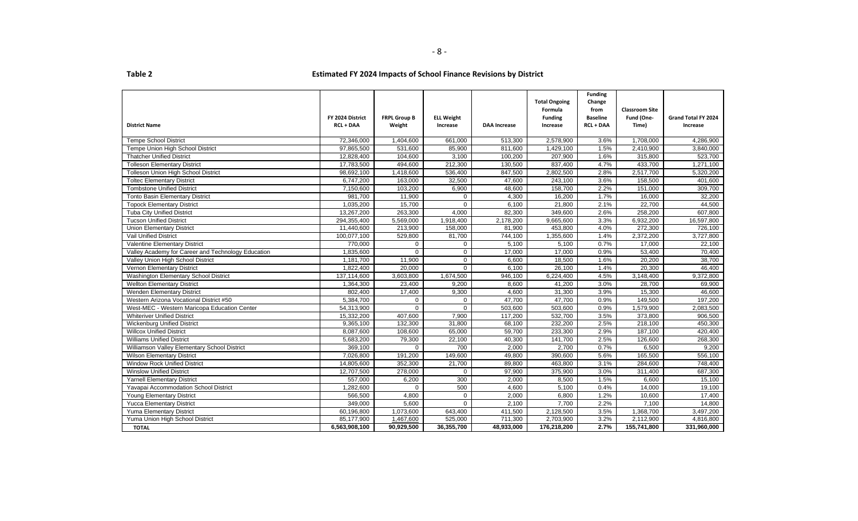- 8 -

|                                                    |                  |                     |                   |                     | <b>Total Ongoing</b> | <b>Funding</b><br>Change |                       |                     |
|----------------------------------------------------|------------------|---------------------|-------------------|---------------------|----------------------|--------------------------|-----------------------|---------------------|
|                                                    |                  |                     |                   |                     | Formula              | from                     | <b>Classroom Site</b> |                     |
|                                                    | FY 2024 District | <b>FRPL Group B</b> | <b>ELL Weight</b> |                     | <b>Funding</b>       | <b>Baseline</b>          | Fund (One-            | Grand Total FY 2024 |
| <b>District Name</b>                               | <b>RCL + DAA</b> | Weight              | Increase          | <b>DAA Increase</b> | Increase             | <b>RCL + DAA</b>         | Time)                 | Increase            |
|                                                    |                  |                     |                   |                     |                      |                          |                       |                     |
| <b>Tempe School District</b>                       | 72,346,000       | 1,404,600           | 661,000           | 513,300             | 2,578,900            | 3.6%                     | 1,708,000             | 4,286,900           |
| Tempe Union High School District                   | 97,865,500       | 531,600             | 85,900            | 811,600             | 1,429,100            | 1.5%                     | 2,410,900             | 3,840,000           |
| <b>Thatcher Unified District</b>                   | 12,828,400       | 104,600             | 3,100             | 100,200             | 207,900              | 1.6%                     | 315,800               | 523,700             |
| <b>Tolleson Elementary District</b>                | 17,783,500       | 494,600             | 212,300           | 130,500             | 837,400              | 4.7%                     | 433,700               | 1,271,100           |
| <b>Tolleson Union High School District</b>         | 98,692,100       | 1,418,600           | 536,400           | 847,500             | 2,802,500            | 2.8%                     | 2,517,700             | 5,320,200           |
| <b>Toltec Elementary District</b>                  | 6,747,200        | 163,000             | 32,500            | 47,600              | 243,100              | 3.6%                     | 158,500               | 401,600             |
| <b>Tombstone Unified District</b>                  | 7,150,600        | 103,200             | 6,900             | 48,600              | 158,700              | 2.2%                     | 151,000               | 309,700             |
| <b>Tonto Basin Elementary District</b>             | 981,700          | 11,900              | $\mathbf 0$       | 4,300               | 16,200               | 1.7%                     | 16,000                | 32,200              |
| <b>Topock Elementary District</b>                  | 1,035,200        | 15,700              | $\mathbf 0$       | 6,100               | 21,800               | 2.1%                     | 22,700                | 44,500              |
| <b>Tuba City Unified District</b>                  | 13,267,200       | 263,300             | 4,000             | 82,300              | 349,600              | 2.6%                     | 258,200               | 607,800             |
| <b>Tucson Unified District</b>                     | 294,355,400      | 5,569,000           | 1,918,400         | 2,178,200           | 9,665,600            | 3.3%                     | 6,932,200             | 16,597,800          |
| <b>Union Elementary District</b>                   | 11,440,600       | 213,900             | 158,000           | 81,900              | 453,800              | 4.0%                     | 272,300               | 726,100             |
| Vail Unified District                              | 100,077,100      | 529,800             | 81,700            | 744,100             | 1,355,600            | 1.4%                     | 2,372,200             | 3,727,800           |
| Valentine Elementary District                      | 770,000          | $\mathbf{0}$        | $\mathbf 0$       | 5,100               | 5,100                | 0.7%                     | 17,000                | 22,100              |
| Valley Academy for Career and Technology Education | 1,835,600        | $\Omega$            | $\mathbf 0$       | 17,000              | 17,000               | 0.9%                     | 53,400                | 70,400              |
| Valley Union High School District                  | 1,181,700        | 11,900              | $\mathbf 0$       | 6,600               | 18,500               | 1.6%                     | 20,200                | 38,700              |
| Vernon Elementary District                         | 1,822,400        | 20,000              | $\mathbf 0$       | 6,100               | 26,100               | 1.4%                     | 20,300                | 46,400              |
| Washington Elementary School District              | 137,114,600      | 3,603,800           | 1,674,500         | 946,100             | 6,224,400            | 4.5%                     | 3,148,400             | 9,372,800           |
| <b>Wellton Elementary District</b>                 | 1,364,300        | 23,400              | 9,200             | 8,600               | 41,200               | 3.0%                     | 28,700                | 69,900              |
| Wenden Elementary District                         | 802,400          | 17,400              | 9,300             | 4,600               | 31,300               | 3.9%                     | 15,300                | 46,600              |
| Western Arizona Vocational District #50            | 5,384,700        | $\mathbf 0$         | $\mathbf 0$       | 47,700              | 47,700               | 0.9%                     | 149,500               | 197,200             |
| West-MEC - Western Maricopa Education Center       | 54,313,900       | $\Omega$            | $\Omega$          | 503,600             | 503,600              | 0.9%                     | 1,579,900             | 2,083,500           |
| <b>Whiteriver Unified District</b>                 | 15,332,200       | 407,600             | 7,900             | 117,200             | 532,700              | 3.5%                     | 373,800               | 906,500             |
| <b>Wickenburg Unified District</b>                 | 9,365,100        | 132,300             | 31,800            | 68,100              | 232,200              | 2.5%                     | 218,100               | 450,300             |
| <b>Willcox Unified District</b>                    | 8,087,600        | 108,600             | 65,000            | 59,700              | 233,300              | 2.9%                     | 187,100               | 420,400             |
| <b>Williams Unified District</b>                   | 5,683,200        | 79,300              | 22,100            | 40,300              | 141,700              | 2.5%                     | 126,600               | 268,300             |
| Williamson Valley Elementary School District       | 369,100          | $\Omega$            | 700               | 2,000               | 2,700                | 0.7%                     | 6,500                 | 9.200               |
| <b>Wilson Elementary District</b>                  | 7,026,800        | 191,200             | 149,600           | 49,800              | 390,600              | 5.6%                     | 165,500               | 556.100             |
| <b>Window Rock Unified District</b>                | 14,805,600       | 352,300             | 21,700            | 89,800              | 463,800              | 3.1%                     | 284,600               | 748,400             |
| <b>Winslow Unified District</b>                    | 12,707,500       | 278,000             | $\Omega$          | 97,900              | 375,900              | 3.0%                     | 311,400               | 687,300             |
| <b>Yarnell Elementary District</b>                 | 557,000          | 6,200               | 300               | 2,000               | 8,500                | 1.5%                     | 6,600                 | 15,100              |
| Yavapai Accommodation School District              | 1,282,600        | $\Omega$            | 500               | 4,600               | 5,100                | 0.4%                     | 14,000                | 19,100              |
| Young Elementary District                          | 566,500          | 4,800               | $\mathbf 0$       | 2,000               | 6,800                | 1.2%                     | 10,600                | 17,400              |
| <b>Yucca Elementary District</b>                   | 349,000          | 5,600               | $\Omega$          | 2,100               | 7,700                | 2.2%                     | 7,100                 | 14,800              |
| Yuma Elementary District                           | 60,196,800       | 1,073,600           | 643,400           | 411,500             | 2,128,500            | 3.5%                     | 1,368,700             | 3,497,200           |
| Yuma Union High School District                    | 85,177,900       | 1,467,600           | 525,000           | 711,300             | 2,703,900            | 3.2%                     | 2,112,900             | 4,816,800           |
| <b>TOTAL</b>                                       | 6,563,908,100    | 90,929,500          | 36,355,700        | 48,933,000          | 176,218,200          | 2.7%                     | 155,741,800           | 331,960,000         |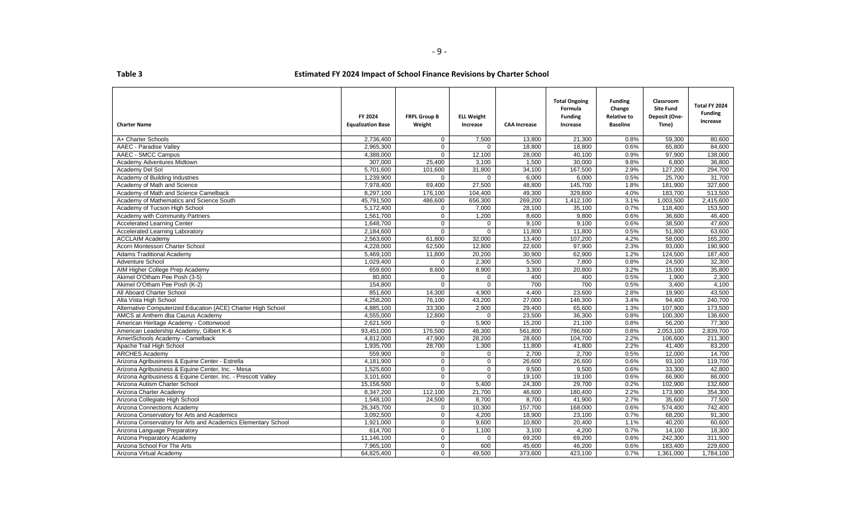| able |  |  |
|------|--|--|
|      |  |  |
|      |  |  |

| <b>Charter Name</b>                                           | FY 2024<br><b>Equalization Base</b> | <b>FRPL Group B</b><br>Weight | <b>ELL Weight</b><br>Increase | <b>CAA Increase</b> | <b>Total Ongoing</b><br>Formula<br><b>Funding</b><br>Increase | <b>Funding</b><br>Change<br><b>Relative to</b><br><b>Baseline</b> | Classroom<br><b>Site Fund</b><br>Deposit (One-<br>Time) | Total FY 2024<br><b>Funding</b><br>Increase |
|---------------------------------------------------------------|-------------------------------------|-------------------------------|-------------------------------|---------------------|---------------------------------------------------------------|-------------------------------------------------------------------|---------------------------------------------------------|---------------------------------------------|
| A+ Charter Schools                                            | 2,736,400                           | $\mathbf{0}$                  | 7,500                         | 13,800              | 21,300                                                        | 0.8%                                                              | 59,300                                                  | 80,600                                      |
| AAEC - Paradise Valley                                        | 2,965,300                           | $\Omega$                      | $\Omega$                      | 18.800              | 18.800                                                        | 0.6%                                                              | 65.800                                                  | 84,600                                      |
| AAEC - SMCC Campus                                            | 4,388,000                           | $\Omega$                      | 12,100                        | 28,000              | 40,100                                                        | 0.9%                                                              | 97,900                                                  | 138,000                                     |
| Academy Adventures Midtown                                    | 307,000                             | 25,400                        | 3,100                         | 1,500               | 30,000                                                        | 9.8%                                                              | 6,800                                                   | 36,800                                      |
| Academy Del Sol                                               | 5,701,600                           | 101.600                       | 31,800                        | 34,100              | 167,500                                                       | 2.9%                                                              | 127,200                                                 | 294,700                                     |
| Academy of Building Industries                                | 1,239,900                           | $\mathbf{0}$                  | $\mathbf 0$                   | 6,000               | 6,000                                                         | 0.5%                                                              | 25,700                                                  | 31,700                                      |
| Academy of Math and Science                                   | 7,978,400                           | 69,400                        | 27,500                        | 48,800              | 145,700                                                       | 1.8%                                                              | 181,900                                                 | 327,600                                     |
| Academy of Math and Science Camelback                         | 8,297,100                           | 176,100                       | 104,400                       | 49,300              | 329,800                                                       | 4.0%                                                              | 183,700                                                 | 513,500                                     |
| Academy of Mathematics and Science South                      | 45,791,500                          | 486,600                       | 656,300                       | 269,200             | 1,412,100                                                     | 3.1%                                                              | 1,003,500                                               | 2,415,600                                   |
| Academy of Tucson High School                                 | 5,172,400                           | $\mathbf 0$                   | 7,000                         | 28,100              | 35,100                                                        | 0.7%                                                              | 118,400                                                 | 153,500                                     |
| Academy with Community Partners                               | 1.561.700                           | $\Omega$                      | 1,200                         | 8.600               | 9,800                                                         | 0.6%                                                              | 36.600                                                  | 46,400                                      |
| <b>Accelerated Learning Center</b>                            | 1,648,700                           | $\mathbf 0$                   | $\mathbf 0$                   | 9,100               | 9,100                                                         | 0.6%                                                              | 38,500                                                  | 47,600                                      |
| <b>Accelerated Learning Laboratory</b>                        | 2,184,600                           | $\mathbf 0$                   | $\mathbf 0$                   | 11,800              | 11,800                                                        | 0.5%                                                              | 51,800                                                  | 63,600                                      |
| <b>ACCLAIM Academy</b>                                        | 2,563,600                           | 61,800                        | 32,000                        | 13,400              | 107,200                                                       | 4.2%                                                              | 58,000                                                  | 165,200                                     |
| Acorn Montessori Charter School                               | 4,228,000                           | 62,500                        | 12,800                        | 22,600              | 97,900                                                        | 2.3%                                                              | 93,000                                                  | 190,900                                     |
| <b>Adams Traditional Academy</b>                              | 5,469,100                           | 11,800                        | 20.200                        | 30.900              | 62.900                                                        | 1.2%                                                              | 124.500                                                 | 187.400                                     |
| <b>Adventure School</b>                                       | 1,029,400                           | $\mathbf{0}$                  | 2,300                         | 5,500               | 7.800                                                         | 0.8%                                                              | 24.500                                                  | 32,300                                      |
| AIM Higher College Prep Academy                               | 659,600                             | 8,600                         | 8,900                         | 3,300               | 20,800                                                        | 3.2%                                                              | 15,000                                                  | 35,800                                      |
| Akimel O'Otham Pee Posh (3-5)                                 | 80,800                              | $\mathbf{0}$                  | $\mathbf 0$                   | 400                 | 400                                                           | 0.5%                                                              | 1,900                                                   | 2,300                                       |
| Akimel O'Otham Pee Posh (K-2)                                 | 154,800                             | $\Omega$                      | $\Omega$                      | 700                 | 700                                                           | 0.5%                                                              | 3,400                                                   | 4,100                                       |
| All Aboard Charter School                                     | 851,600                             | 14,300                        | 4,900                         | 4,400               | 23,600                                                        | 2.8%                                                              | 19,900                                                  | 43,500                                      |
| Alta Vista High School                                        | 4,258,200                           | 76,100                        | 43,200                        | 27.000              | 146.300                                                       | 3.4%                                                              | 94.400                                                  | 240.700                                     |
| Alternative Computerized Education (ACE) Charter High School  | 4,885,100                           | 33,300                        | 2,900                         | 29,400              | 65,600                                                        | 1.3%                                                              | 107,900                                                 | 173,500                                     |
| AMCS at Anthem dba Caurus Academy                             | 4,555,000                           | 12,800                        | $\mathbf 0$                   | 23,500              | 36,300                                                        | 0.8%                                                              | 100,300                                                 | 136,600                                     |
| American Heritage Academy - Cottonwood                        | 2,621,500                           | $\mathbf{0}$                  | 5,900                         | 15,200              | 21,100                                                        | 0.8%                                                              | 56,200                                                  | 77,300                                      |
| American Leadership Academy, Gilbert K-6                      | 93,451,000                          | 176,500                       | 48,300                        | 561,800             | 786,600                                                       | 0.8%                                                              | 2,053,100                                               | 2,839,700                                   |
| AmeriSchools Academy - Camelback                              | 4.812.000                           | 47,900                        | 28,200                        | 28.600              | 104.700                                                       | 2.2%                                                              | 106.600                                                 | 211,300                                     |
| Apache Trail High School                                      | 1,935,700                           | 28,700                        | 1,300                         | 11,800              | 41,800                                                        | 2.2%                                                              | 41,400                                                  | 83,200                                      |
| <b>ARCHES Academy</b>                                         | 559,900                             | $\mathbf 0$                   | $\mathbf 0$                   | 2,700               | 2,700                                                         | 0.5%                                                              | 12,000                                                  | 14,700                                      |
| Arizona Agribusiness & Equine Center - Estrella               | 4,181,900                           | $\mathbf 0$                   | $\mathbf 0$                   | 26,600              | 26,600                                                        | 0.6%                                                              | 93,100                                                  | 119,700                                     |
| Arizona Agribusiness & Equine Center, Inc. - Mesa             | 1,525,600                           | $\mathbf 0$                   | $\mathbf 0$                   | 9.500               | 9,500                                                         | 0.6%                                                              | 33,300                                                  | 42,800                                      |
| Arizona Agribusiness & Equine Center, Inc. - Prescott Valley  | 3,101,600                           | $\mathbf 0$                   | $\Omega$                      | 19,100              | 19,100                                                        | 0.6%                                                              | 66,900                                                  | 86,000                                      |
| Arizona Autism Charter School                                 | 15,156,500                          | $\mathbf 0$                   | 5,400                         | 24,300              | 29,700                                                        | 0.2%                                                              | 102,900                                                 | 132,600                                     |
| Arizona Charter Academy                                       | 8,347,200                           | 112,100                       | 21,700                        | 46,600              | 180.400                                                       | 2.2%                                                              | 173.900                                                 | 354,300                                     |
| Arizona Collegiate High School                                | 1,548,100                           | 24,500                        | 8,700                         | 8,700               | 41,900                                                        | 2.7%                                                              | 35,600                                                  | 77,500                                      |
| Arizona Connections Academy                                   | 26,345,700                          | $\overline{0}$                | 10,300                        | 157,700             | 168,000                                                       | 0.6%                                                              | 574,400                                                 | 742,400                                     |
| Arizona Conservatory for Arts and Academics                   | 3,092,500                           | $\overline{0}$                | 4,200                         | 18,900              | 23,100                                                        | 0.7%                                                              | 68,200                                                  | 91,300                                      |
| Arizona Conservatory for Arts and Academics Elementary School | 1,921,000                           | $\overline{0}$                | 9,600                         | 10,800              | 20,400                                                        | 1.1%                                                              | 40,200                                                  | 60,600                                      |
| Arizona Language Preparatory                                  | 614,700                             | $\mathbf 0$                   | 1,100                         | 3,100               | 4,200                                                         | 0.7%                                                              | 14,100                                                  | 18,300                                      |
| Arizona Preparatory Academy                                   | 11,146,100                          | $\Omega$                      | $\Omega$                      | 69.200              | 69.200                                                        | 0.6%                                                              | 242.300                                                 | 311.500                                     |
| Arizona School For The Arts                                   | 7,965,100                           | $\mathbf{0}$                  | 600                           | 45,600              | 46,200                                                        | 0.6%                                                              | 183,400                                                 | 229,600                                     |
| Arizona Virtual Academy                                       | 64,825,400                          | $\mathbf 0$                   | 49,500                        | 373,600             | 423,100                                                       | 0.7%                                                              | 1,361,000                                               | 1,784,100                                   |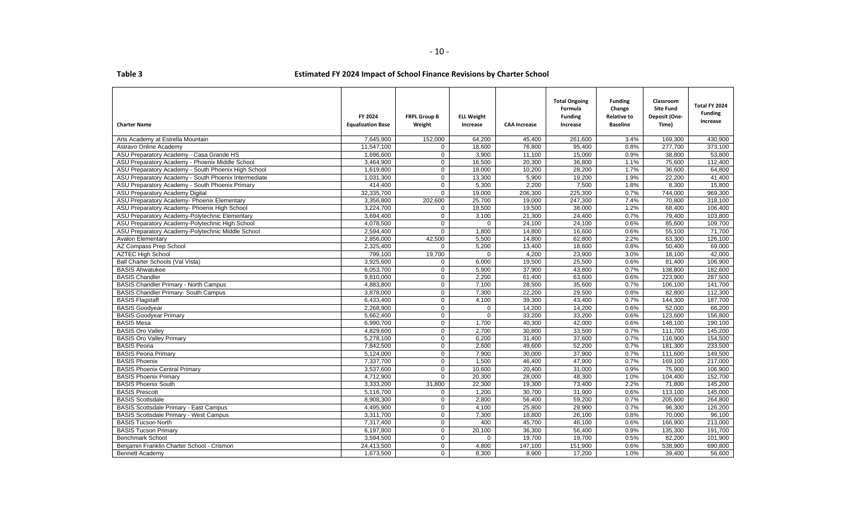| <b>Charter Name</b>                                  | FY 2024<br><b>Equalization Base</b> | <b>FRPL Group B</b><br>Weight | <b>ELL Weight</b><br>Increase | <b>CAA Increase</b> | <b>Total Ongoing</b><br>Formula<br><b>Funding</b><br>Increase | <b>Funding</b><br>Change<br><b>Relative to</b><br><b>Baseline</b> | Classroom<br><b>Site Fund</b><br>Deposit (One-<br>Time) | Total FY 2024<br><b>Funding</b><br>Increase |
|------------------------------------------------------|-------------------------------------|-------------------------------|-------------------------------|---------------------|---------------------------------------------------------------|-------------------------------------------------------------------|---------------------------------------------------------|---------------------------------------------|
| Arts Academy at Estrella Mountain                    | 7,645,900                           | 152,000                       | 64,200                        | 45,400              | 261,600                                                       | 3.4%                                                              | 169,300                                                 | 430,900                                     |
| Astravo Online Academy                               | 11,547,100                          | $\Omega$                      | 18,600                        | 76,800              | 95,400                                                        | 0.8%                                                              | 277,700                                                 | 373,100                                     |
| ASU Preparatory Academy - Casa Grande HS             | 1.696.600                           | $\mathbf{0}$                  | 3,900                         | 11,100              | 15.000                                                        | 0.9%                                                              | 38.800                                                  | 53,800                                      |
| ASU Preparatory Academy - Phoenix Middle School      | 3,464,900                           | $\Omega$                      | 16,500                        | 20,300              | 36,800                                                        | 1.1%                                                              | 75,600                                                  | 112.400                                     |
| ASU Preparatory Academy - South Phoenix High School  | 1,619,800                           | $\mathbf 0$                   | 18,000                        | 10,200              | 28,200                                                        | 1.7%                                                              | 36,600                                                  | 64,800                                      |
| ASU Preparatory Academy - South Phoenix Intermediate | 1,031,300                           | $\mathbf 0$                   | 13,300                        | 5,900               | 19,200                                                        | 1.9%                                                              | 22,200                                                  | 41,400                                      |
| ASU Preparatory Academy - South Phoenix Primary      | 414.400                             | $\mathbf{0}$                  | 5.300                         | 2.200               | 7.500                                                         | 1.8%                                                              | 8.300                                                   | 15.800                                      |
| ASU Preparatory Academy Digital                      | 32,335,700                          | $\mathbf 0$                   | 19,000                        | 206,300             | 225,300                                                       | 0.7%                                                              | 744,000                                                 | 969,300                                     |
| ASU Preparatory Academy- Phoenix Elementary          | 3,356,800                           | 202,600                       | 25,700                        | 19,000              | 247,300                                                       | 7.4%                                                              | 70,800                                                  | 318,100                                     |
| ASU Preparatory Academy- Phoenix High School         | 3,224,700                           | $\mathbf{0}$                  | 18,500                        | 19,500              | 38,000                                                        | 1.2%                                                              | 68,400                                                  | 106,400                                     |
| ASU Preparatory Academy-Polytechnic Elementary       | 3,694,400                           | $\Omega$                      | 3,100                         | 21,300              | 24,400                                                        | 0.7%                                                              | 79.400                                                  | 103,800                                     |
| ASU Preparatory Academy-Polytechnic High School      | 4.078.500                           | $\mathbf{0}$                  | $\mathbf{0}$                  | 24,100              | 24,100                                                        | 0.6%                                                              | 85.600                                                  | 109.700                                     |
| ASU Preparatory Academy-Polytechnic Middle School    | 2.594.400                           | $\Omega$                      | 1.800                         | 14,800              | 16.600                                                        | 0.6%                                                              | 55.100                                                  | 71.700                                      |
| <b>Avalon Elementary</b>                             | 2,856,000                           | 42,500                        | 5,500                         | 14,800              | 62,800                                                        | 2.2%                                                              | 63,300                                                  | 126,100                                     |
| AZ Compass Prep School                               | 2,325,400                           | $\mathbf 0$                   | 5,200                         | 13,400              | 18,600                                                        | 0.8%                                                              | 50,400                                                  | 69,000                                      |
| <b>AZTEC High School</b>                             | 799,100                             | 19,700                        | 0                             | 4,200               | 23,900                                                        | 3.0%                                                              | 18,100                                                  | 42,000                                      |
| Ball Charter Schools (Val Vista)                     | 3,925,600                           | 0                             | 6,000                         | 19,500              | 25,500                                                        | 0.6%                                                              | 81,400                                                  | 106,900                                     |
| <b>BASIS Ahwatukee</b>                               | 6.053.700                           | $\Omega$                      | 5.900                         | 37.900              | 43.800                                                        | 0.7%                                                              | 138.800                                                 | 182.600                                     |
| <b>BASIS Chandler</b>                                | 9,810,000                           | $\mathbf{0}$                  | 2,200                         | 61,400              | 63,600                                                        | 0.6%                                                              | 223,900                                                 | 287,500                                     |
| <b>BASIS Chandler Primary - North Campus</b>         | 4.883.800                           | $\overline{0}$                | 7.100                         | 28,500              | 35.600                                                        | 0.7%                                                              | 106.100                                                 | 141.700                                     |
| <b>BASIS Chandler Primary- South Campus</b>          | 3,878,000                           | $\mathbf{0}$                  | 7,300                         | 22,200              | 29,500                                                        | 0.8%                                                              | 82,800                                                  | 112,300                                     |
| <b>BASIS Flagstaff</b>                               | 6,433,400                           | $\Omega$                      | 4,100                         | 39,300              | 43,400                                                        | 0.7%                                                              | 144,300                                                 | 187,700                                     |
| <b>BASIS Goodyear</b>                                | 2,268,900                           | $\mathbf 0$                   | 0                             | 14,200              | 14,200                                                        | 0.6%                                                              | 52,000                                                  | 66,200                                      |
| <b>BASIS Goodyear Primary</b>                        | 5,662,400                           | $\mathbf 0$                   | 0                             | 33,200              | 33,200                                                        | 0.6%                                                              | 123,600                                                 | 156,800                                     |
| <b>BASIS Mesa</b>                                    | 6,990,700                           | $\mathbf 0$                   | 1,700                         | 40,300              | 42.000                                                        | 0.6%                                                              | 148.100                                                 | 190.100                                     |
| <b>BASIS Oro Valley</b>                              | 4,829,600                           | $\mathbf{0}$                  | 2,700                         | 30.800              | 33.500                                                        | 0.7%                                                              | 111,700                                                 | 145,200                                     |
| <b>BASIS Oro Valley Primary</b>                      | 5,278,100                           | $\mathbf 0$                   | 6,200                         | 31,400              | 37,600                                                        | 0.7%                                                              | 116,900                                                 | 154,500                                     |
| <b>BASIS Peoria</b>                                  | 7,842,500                           | $\mathbf 0$                   | 2,600                         | 49,600              | 52,200                                                        | 0.7%                                                              | 181,300                                                 | 233,500                                     |
| <b>BASIS Peoria Primary</b>                          | 5,124,000                           | $\overline{0}$                | 7,900                         | 30,000              | 37,900                                                        | 0.7%                                                              | 111,600                                                 | 149,500                                     |
| <b>BASIS Phoenix</b>                                 | 7,337,700                           | $\mathbf{0}$                  | 1,500                         | 46,400              | 47,900                                                        | 0.7%                                                              | 169,100                                                 | 217,000                                     |
| <b>BASIS Phoenix Central Primary</b>                 | 3.537.600                           | $\Omega$                      | 10.600                        | 20.400              | 31.000                                                        | 0.9%                                                              | 75.900                                                  | 106.900                                     |
| <b>BASIS Phoenix Primary</b>                         | 4,712,900                           | $\Omega$                      | 20,300                        | 28,000              | 48,300                                                        | 1.0%                                                              | 104.400                                                 | 152.700                                     |
| <b>BASIS Phoenix South</b>                           | 3,333,200                           | 31,800                        | 22,300                        | 19,300              | 73,400                                                        | 2.2%                                                              | 71,800                                                  | 145,200                                     |
| <b>BASIS Prescott</b>                                | 5,116,700                           | $\mathbf 0$                   | 1,200                         | 30,700              | 31,900                                                        | 0.6%                                                              | 113,100                                                 | 145,000                                     |
| <b>BASIS Scottsdale</b>                              | 8,908,300                           | $\mathbf 0$                   | 2,800                         | 56,400              | 59,200                                                        | 0.7%                                                              | 205,600                                                 | 264,800                                     |
| <b>BASIS Scottsdale Primary - East Campus</b>        | 4,495,900                           | $\Omega$                      | 4,100                         | 25.800              | 29.900                                                        | 0.7%                                                              | 96.300                                                  | 126.200                                     |
| <b>BASIS Scottsdale Primary - West Campus</b>        | 3,311,700                           | $\mathbf{0}$                  | 7,300                         | 18,800              | 26,100                                                        | 0.8%                                                              | 70,000                                                  | 96,100                                      |
| <b>BASIS Tucson North</b>                            | 7,317,400                           | $\mathbf 0$                   | 400                           | 45,700              | 46,100                                                        | 0.6%                                                              | 166,900                                                 | 213,000                                     |
| <b>BASIS Tucson Primary</b>                          | 6,197,800                           | $\mathbf{0}$                  | 20,100                        | 36,300              | 56,400                                                        | 0.9%                                                              | 135,300                                                 | 191,700                                     |
| <b>Benchmark School</b>                              | 3.594.500                           | $\mathbf{0}$                  | $\mathbf{0}$                  | 19.700              | 19.700                                                        | 0.5%                                                              | 82.200                                                  | 101.900                                     |
| Beniamin Franklin Charter School - Crismon           | 24,413,500                          | $\mathbf 0$                   | 4,800                         | 147,100             | 151,900                                                       | 0.6%                                                              | 538,900                                                 | 690,800                                     |
| <b>Bennett Academy</b>                               | 1,673,500                           | $\Omega$                      | 8,300                         | 8,900               | 17,200                                                        | 1.0%                                                              | 39,400                                                  | 56,600                                      |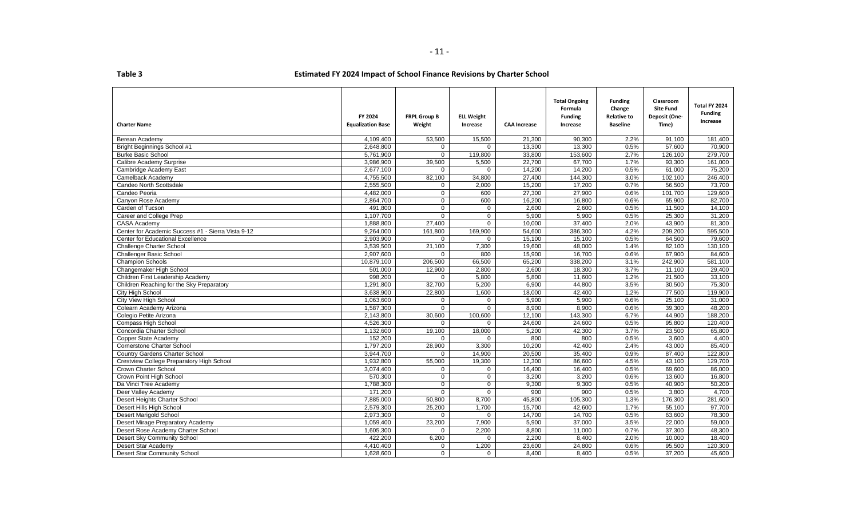| rable |  |  |
|-------|--|--|
|       |  |  |

| <b>Charter Name</b>                                | FY 2024<br><b>Equalization Base</b> | <b>FRPL Group B</b><br>Weight | <b>ELL Weight</b><br>Increase | <b>CAA Increase</b> | <b>Total Ongoing</b><br>Formula<br><b>Funding</b><br>Increase | <b>Funding</b><br>Change<br><b>Relative to</b><br><b>Baseline</b> | Classroom<br><b>Site Fund</b><br>Deposit (One-<br>Time) | Total FY 2024<br><b>Funding</b><br>Increase |
|----------------------------------------------------|-------------------------------------|-------------------------------|-------------------------------|---------------------|---------------------------------------------------------------|-------------------------------------------------------------------|---------------------------------------------------------|---------------------------------------------|
| Berean Academy                                     | 4,109,400                           | 53,500                        | 15,500                        | 21,300              | 90,300                                                        | 2.2%                                                              | 91,100                                                  | 181,400                                     |
| <b>Bright Beginnings School #1</b>                 | 2,648,800                           | $\mathbf{0}$                  | $\Omega$                      | 13,300              | 13,300                                                        | 0.5%                                                              | 57,600                                                  | 70,900                                      |
| <b>Burke Basic School</b>                          | 5,761,900                           | $\mathbf{0}$                  | 119,800                       | 33,800              | 153,600                                                       | 2.7%                                                              | 126,100                                                 | 279,700                                     |
| Calibre Academy Surprise                           | 3,986,900                           | 39,500                        | 5,500                         | 22.700              | 67.700                                                        | 1.7%                                                              | 93.300                                                  | 161,000                                     |
| Cambridge Academy East                             | 2,677,100                           | $\Omega$                      | $\Omega$                      | 14,200              | 14,200                                                        | 0.5%                                                              | 61,000                                                  | 75,200                                      |
| Camelback Academy                                  | 4,755,500                           | 82,100                        | 34,800                        | 27,400              | 144,300                                                       | 3.0%                                                              | 102,100                                                 | 246,400                                     |
| Candeo North Scottsdale                            | 2,555,500                           | $\mathbf 0$                   | 2,000                         | 15,200              | 17,200                                                        | 0.7%                                                              | 56,500                                                  | 73,700                                      |
| Candeo Peoria                                      | 4,482,000                           | 0                             | 600                           | 27,300              | 27,900                                                        | 0.6%                                                              | 101,700                                                 | 129,600                                     |
| Canyon Rose Academy                                | 2,864,700                           | $\overline{0}$                | 600                           | 16,200              | 16,800                                                        | 0.6%                                                              | 65,900                                                  | 82,700                                      |
| Carden of Tucson                                   | 491,800                             | $\mathbf 0$                   | $\mathbf 0$                   | 2,600               | 2,600                                                         | 0.5%                                                              | 11,500                                                  | 14,100                                      |
| Career and College Prep                            | 1,107,700                           | $\overline{0}$                | $\Omega$                      | 5,900               | 5,900                                                         | 0.5%                                                              | 25,300                                                  | 31,200                                      |
| CASA Academy                                       | 1,888,800                           | 27,400                        | $\mathbf 0$                   | 10,000              | 37,400                                                        | 2.0%                                                              | 43,900                                                  | 81,300                                      |
| Center for Academic Success #1 - Sierra Vista 9-12 | 9,264,000                           | 161,800                       | 169,900                       | 54,600              | 386,300                                                       | 4.2%                                                              | 209,200                                                 | 595,500                                     |
| Center for Educational Excellence                  | 2,903,900                           | 0                             | $\mathbf 0$                   | 15,100              | 15,100                                                        | 0.5%                                                              | 64,500                                                  | 79,600                                      |
| Challenge Charter School                           | 3,539,500                           | 21,100                        | 7,300                         | 19,600              | 48,000                                                        | 1.4%                                                              | 82,100                                                  | 130,100                                     |
| <b>Challenger Basic School</b>                     | 2,907,600                           | $\Omega$                      | 800                           | 15,900              | 16,700                                                        | 0.6%                                                              | 67,900                                                  | 84,600                                      |
| <b>Champion Schools</b>                            | 10,879,100                          | 206,500                       | 66,500                        | 65,200              | 338,200                                                       | 3.1%                                                              | 242,900                                                 | 581,100                                     |
| Changemaker High School                            | 501,000                             | 12,900                        | 2,800                         | 2,600               | 18,300                                                        | 3.7%                                                              | 11,100                                                  | 29,400                                      |
| Children First Leadership Academy                  | 998,200                             | $\mathbf{0}$                  | 5,800                         | 5,800               | 11,600                                                        | 1.2%                                                              | 21,500                                                  | 33,100                                      |
| Children Reaching for the Sky Preparatory          | 1,291,800                           | 32,700                        | 5,200                         | 6.900               | 44.800                                                        | 3.5%                                                              | 30.500                                                  | 75,300                                      |
| City High School                                   | 3,638,900                           | 22,800                        | 1,600                         | 18,000              | 42,400                                                        | 1.2%                                                              | 77.500                                                  | 119,900                                     |
| City View High School                              | 1,063,600                           | $\Omega$                      | $\Omega$                      | 5,900               | 5,900                                                         | 0.6%                                                              | 25.100                                                  | 31,000                                      |
| Colearn Academy Arizona                            | 1,587,300                           | $\mathbf 0$                   | $\mathbf 0$                   | 8,900               | 8,900                                                         | 0.6%                                                              | 39,300                                                  | 48,200                                      |
| Colegio Petite Arizona                             | 2,143,800                           | 30,600                        | 100,600                       | 12,100              | 143,300                                                       | 6.7%                                                              | 44,900                                                  | 188,200                                     |
| Compass High School                                | 4,526,300                           | $\mathbf 0$                   | $\mathbf 0$                   | 24,600              | 24,600                                                        | 0.5%                                                              | 95,800                                                  | 120,400                                     |
| Concordia Charter School                           | 1,132,600                           | 19,100                        | 18,000                        | 5,200               | 42,300                                                        | 3.7%                                                              | 23,500                                                  | 65,800                                      |
| Copper State Academy                               | 152,200                             | $\Omega$                      | $\Omega$                      | 800                 | 800                                                           | 0.5%                                                              | 3,600                                                   | 4,400                                       |
| <b>Cornerstone Charter School</b>                  | 1,797,200                           | 28,900                        | 3,300                         | 10,200              | 42,400                                                        | 2.4%                                                              | 43,000                                                  | 85,400                                      |
| Country Gardens Charter School                     | 3,944,700                           | $\Omega$                      | 14,900                        | 20,500              | 35,400                                                        | 0.9%                                                              | 87,400                                                  | 122,800                                     |
| Crestview College Preparatory High School          | 1,932,800                           | 55,000                        | 19,300                        | 12,300              | 86,600                                                        | 4.5%                                                              | 43,100                                                  | 129,700                                     |
| Crown Charter School                               | 3,074,400                           | $\mathbf 0$                   | $\mathbf 0$                   | 16,400              | 16,400                                                        | 0.5%                                                              | 69,600                                                  | 86,000                                      |
| Crown Point High School                            | 570,300                             | $\mathbf 0$                   | $\mathbf 0$                   | 3,200               | 3,200                                                         | 0.6%                                                              | 13,600                                                  | 16,800                                      |
| Da Vinci Tree Academy                              | 1,788,300                           | $\mathbf 0$                   | $\mathbf 0$                   | 9,300               | 9,300                                                         | 0.5%                                                              | 40,900                                                  | 50,200                                      |
| Deer Valley Academy                                | 171.200                             | $\Omega$                      | $\Omega$                      | 900                 | 900                                                           | 0.5%                                                              | 3.800                                                   | 4.700                                       |
| Desert Heights Charter School                      | 7,885,000                           | 50,800                        | 8,700                         | 45,800              | 105,300                                                       | 1.3%                                                              | 176,300                                                 | 281,600                                     |
| Desert Hills High School                           | 2,579,300                           | 25,200                        | 1,700                         | 15,700              | 42,600                                                        | 1.7%                                                              | 55,100                                                  | 97,700                                      |
| <b>Desert Marigold School</b>                      | $\overline{2,973,300}$              | $\mathbf 0$                   | $\Omega$                      | 14,700              | 14,700                                                        | 0.5%                                                              | 63,600                                                  | 78,300                                      |
| Desert Mirage Preparatory Academy                  | 1,059,400                           | 23,200                        | 7,900                         | 5,900               | 37.000                                                        | 3.5%                                                              | 22.000                                                  | 59,000                                      |
| Desert Rose Academy Charter School                 | 1,605,300                           | $\mathbf 0$                   | 2,200                         | 8,800               | 11,000                                                        | 0.7%                                                              | 37,300                                                  | 48,300                                      |
| Desert Sky Community School                        | 422,200                             | 6,200                         | $\Omega$                      | 2,200               | 8,400                                                         | 2.0%                                                              | 10,000                                                  | 18,400                                      |
| Desert Star Academy                                | 4,410,400                           | $\mathbf{0}$                  | 1,200                         | 23,600              | 24,800                                                        | 0.6%                                                              | 95,500                                                  | 120,300                                     |
| Desert Star Community School                       | 1,628,600                           | $\overline{0}$                | $\mathbf 0$                   | 8,400               | 8,400                                                         | 0.5%                                                              | 37,200                                                  | 45,600                                      |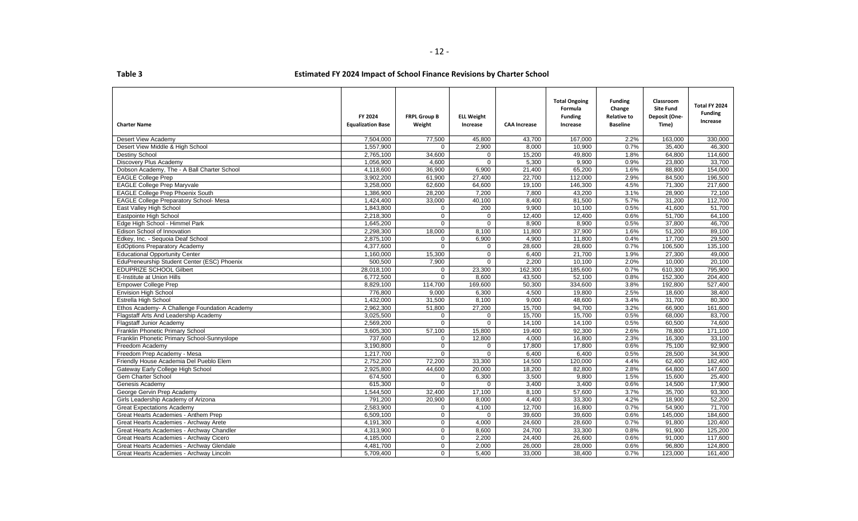| <b>Charter Name</b>                           | FY 2024<br><b>Equalization Base</b> | <b>FRPL Group B</b><br>Weight | <b>ELL Weight</b><br>Increase | <b>CAA Increase</b> | <b>Total Ongoing</b><br>Formula<br><b>Funding</b><br>Increase | <b>Funding</b><br>Change<br><b>Relative to</b><br><b>Baseline</b> | Classroom<br><b>Site Fund</b><br>Deposit (One-<br>Time) | Total FY 2024<br><b>Funding</b><br>Increase |
|-----------------------------------------------|-------------------------------------|-------------------------------|-------------------------------|---------------------|---------------------------------------------------------------|-------------------------------------------------------------------|---------------------------------------------------------|---------------------------------------------|
| Desert View Academy                           | 7,504,000                           | 77,500                        | 45,800                        | 43,700              | 167,000                                                       | 2.2%                                                              | 163,000                                                 | 330,000                                     |
| Desert View Middle & High School              | 1,557,900                           | $\Omega$                      | 2,900                         | 8,000               | 10,900                                                        | 0.7%                                                              | 35,400                                                  | 46,300                                      |
| <b>Destiny School</b>                         | 2,765,100                           | 34,600                        | $\mathbf 0$                   | 15,200              | 49,800                                                        | 1.8%                                                              | 64,800                                                  | 114,600                                     |
| Discovery Plus Academy                        | 1,056,900                           | 4,600                         | $\mathbf 0$                   | 5,300               | 9,900                                                         | 0.9%                                                              | 23,800                                                  | 33,700                                      |
| Dobson Academy, The - A Ball Charter School   | 4,118,600                           | 36,900                        | 6,900                         | 21,400              | 65,200                                                        | 1.6%                                                              | 88,800                                                  | 154,000                                     |
| <b>EAGLE College Prep</b>                     | 3,902,200                           | 61,900                        | 27,400                        | 22,700              | 112,000                                                       | 2.9%                                                              | 84,500                                                  | 196,500                                     |
| <b>EAGLE College Prep Maryvale</b>            | 3.258.000                           | 62.600                        | 64.600                        | 19,100              | 146.300                                                       | 4.5%                                                              | 71.300                                                  | 217.600                                     |
| <b>EAGLE College Prep Phoenix South</b>       | 1,386,900                           | 28,200                        | 7,200                         | 7,800               | 43,200                                                        | 3.1%                                                              | 28,900                                                  | 72,100                                      |
| <b>EAGLE College Preparatory School- Mesa</b> | 1,424,400                           | 33,000                        | 40,100                        | 8,400               | 81,500                                                        | 5.7%                                                              | 31,200                                                  | 112,700                                     |
| East Valley High School                       | 1,843,800                           | $\mathbf{0}$                  | 200                           | 9,900               | 10,100                                                        | 0.5%                                                              | 41,600                                                  | 51,700                                      |
| Eastpointe High School                        | 2,218,300                           | $\Omega$                      | $\Omega$                      | 12,400              | 12,400                                                        | 0.6%                                                              | 51,700                                                  | 64,100                                      |
| Edge High School - Himmel Park                | 1,645,200                           | $\Omega$                      | $\mathbf 0$                   | 8,900               | 8,900                                                         | 0.5%                                                              | 37,800                                                  | 46,700                                      |
| Edison School of Innovation                   | 2,298,300                           | 18,000                        | 8,100                         | 11.800              | 37,900                                                        | 1.6%                                                              | 51.200                                                  | 89,100                                      |
| Edkey, Inc. - Sequoia Deaf School             | 2,875,100                           | $\mathbf{0}$                  | 6,900                         | 4,900               | 11,800                                                        | 0.4%                                                              | 17,700                                                  | 29,500                                      |
| <b>EdOptions Preparatory Academy</b>          | 4,377,600                           | $\mathbf 0$                   | 0                             | 28,600              | 28,600                                                        | 0.7%                                                              | 106,500                                                 | 135,100                                     |
| <b>Educational Opportunity Center</b>         | 1,160,000                           | 15,300                        | $\mathbf 0$                   | 6,400               | 21,700                                                        | 1.9%                                                              | 27,300                                                  | 49,000                                      |
| EduPreneurship Student Center (ESC) Phoenix   | 500,500                             | 7,900                         | $\overline{0}$                | 2,200               | 10,100                                                        | 2.0%                                                              | 10,000                                                  | 20,100                                      |
| <b>EDUPRIZE SCHOOL Gilbert</b>                | 28,018,100                          | $\overline{0}$                | 23,300                        | 162,300             | 185,600                                                       | 0.7%                                                              | 610.300                                                 | 795.900                                     |
| E-Institute at Union Hills                    | 6,772,500                           | $\mathbf{0}$                  | 8,600                         | 43,500              | 52,100                                                        | 0.8%                                                              | 152,300                                                 | 204,400                                     |
| <b>Empower College Prep</b>                   | 8.829.100                           | 114,700                       | 169,600                       | 50,300              | 334,600                                                       | 3.8%                                                              | 192.800                                                 | 527.400                                     |
| <b>Envision High School</b>                   | 776,800                             | 9,000                         | 6,300                         | 4,500               | 19,800                                                        | 2.5%                                                              | 18,600                                                  | 38,400                                      |
| Estrella High School                          | 1,432,000                           | 31,500                        | 8,100                         | 9,000               | 48,600                                                        | 3.4%                                                              | 31,700                                                  | 80,300                                      |
| Ethos Academy- A Challenge Foundation Academy | 2,962,300                           | 51,800                        | 27,200                        | 15,700              | 94,700                                                        | 3.2%                                                              | 66,900                                                  | 161,600                                     |
| Flagstaff Arts And Leadership Academy         | 3,025,500                           | $\mathbf 0$                   | 0                             | 15,700              | 15,700                                                        | 0.5%                                                              | 68,000                                                  | 83,700                                      |
| Flagstaff Junior Academy                      | 2,569,200                           | $\Omega$                      | $\mathbf 0$                   | 14,100              | 14,100                                                        | 0.5%                                                              | 60,500                                                  | 74,600                                      |
| Franklin Phonetic Primary School              | 3,605,300                           | 57,100                        | 15,800                        | 19,400              | 92,300                                                        | 2.6%                                                              | 78,800                                                  | 171,100                                     |
| Franklin Phonetic Primary School-Sunnyslope   | 737,600                             | $\overline{0}$                | 12,800                        | 4,000               | 16,800                                                        | 2.3%                                                              | 16,300                                                  | 33,100                                      |
| Freedom Academy                               | 3,190,800                           | $\mathbf 0$                   | 0                             | 17,800              | 17,800                                                        | 0.6%                                                              | 75,100                                                  | 92,900                                      |
| Freedom Prep Academy - Mesa                   | 1,217,700                           | $\overline{0}$                | $\overline{0}$                | 6,400               | 6,400                                                         | 0.5%                                                              | 28,500                                                  | 34,900                                      |
| Friendly House Academia Del Pueblo Elem       | 2,752,200                           | 72,200                        | 33,300                        | 14,500              | 120,000                                                       | 4.4%                                                              | 62,400                                                  | 182,400                                     |
| Gateway Early College High School             | 2,925,800                           | 44,600                        | 20,000                        | 18,200              | 82,800                                                        | 2.8%                                                              | 64.800                                                  | 147,600                                     |
| <b>Gem Charter School</b>                     | 674,500                             | $\Omega$                      | 6,300                         | 3,500               | 9,800                                                         | 1.5%                                                              | 15,600                                                  | 25,400                                      |
| Genesis Academy                               | 615,300                             | $\Omega$                      | $\mathbf 0$                   | 3,400               | 3,400                                                         | 0.6%                                                              | 14,500                                                  | 17,900                                      |
| George Gervin Prep Academy                    | 1,544,500                           | 32,400                        | 17,100                        | 8,100               | 57,600                                                        | 3.7%                                                              | 35,700                                                  | 93,300                                      |
| Girls Leadership Academy of Arizona           | 791,200                             | 20,900                        | 8,000                         | 4,400               | 33,300                                                        | 4.2%                                                              | 18,900                                                  | 52,200                                      |
| <b>Great Expectations Academy</b>             | 2,583,900                           | $\mathbf{0}$                  | 4,100                         | 12,700              | 16.800                                                        | 0.7%                                                              | 54.900                                                  | 71,700                                      |
| Great Hearts Academies - Anthem Prep          | 6,509,100                           | $\mathbf{0}$                  | $\mathbf 0$                   | 39,600              | 39,600                                                        | 0.6%                                                              | 145,000                                                 | 184,600                                     |
| Great Hearts Academies - Archway Arete        | 4,191,300                           | $\mathbf{0}$                  | 4,000                         | 24,600              | 28,600                                                        | 0.7%                                                              | 91,800                                                  | 120,400                                     |
| Great Hearts Academies - Archway Chandler     | 4,313,900                           | $\mathbf 0$                   | 8,600                         | 24,700              | 33,300                                                        | 0.8%                                                              | 91,900                                                  | 125,200                                     |
| Great Hearts Academies - Archway Cicero       | 4.185.000                           | $\mathbf{0}$                  | 2.200                         | 24,400              | 26.600                                                        | 0.6%                                                              | 91.000                                                  | 117.600                                     |
| Great Hearts Academies - Archway Glendale     | 4,481,700                           | $\overline{0}$                | 2,000                         | 26,000              | 28,000                                                        | 0.6%                                                              | 96,800                                                  | 124,800                                     |
| Great Hearts Academies - Archway Lincoln      | 5,709,400                           | 0                             | 5,400                         | 33,000              | 38,400                                                        | 0.7%                                                              | 123,000                                                 | 161,400                                     |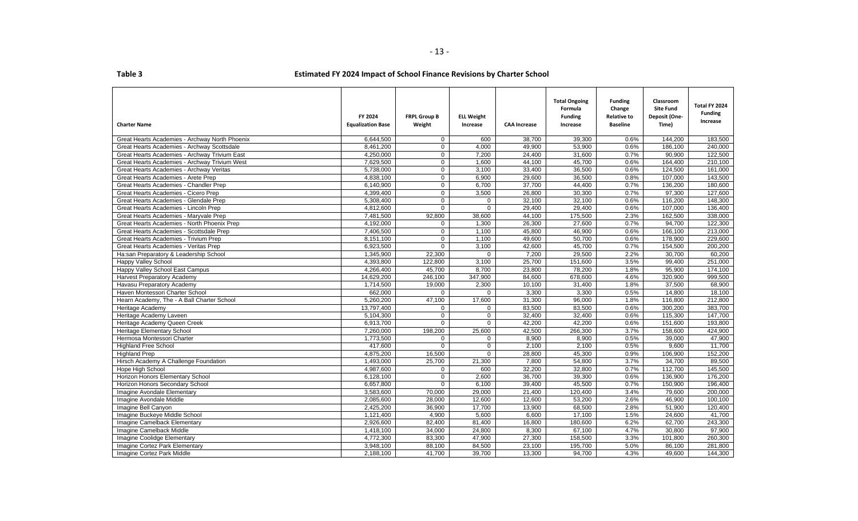| <b>Charter Name</b>                            | FY 2024<br><b>Equalization Base</b> | <b>FRPL Group B</b><br>Weight | <b>ELL Weight</b><br>Increase | <b>CAA Increase</b> | <b>Total Ongoing</b><br>Formula<br><b>Funding</b><br>Increase | <b>Funding</b><br>Change<br><b>Relative to</b><br><b>Baseline</b> | Classroom<br><b>Site Fund</b><br>Deposit (One-<br>Time) | Total FY 2024<br><b>Funding</b><br>Increase |
|------------------------------------------------|-------------------------------------|-------------------------------|-------------------------------|---------------------|---------------------------------------------------------------|-------------------------------------------------------------------|---------------------------------------------------------|---------------------------------------------|
| Great Hearts Academies - Archway North Phoenix | 6,644,500                           | $\mathbf{0}$                  | 600                           | 38,700              | 39,300                                                        | 0.6%                                                              | 144,200                                                 | 183,500                                     |
| Great Hearts Academies - Archway Scottsdale    | 8.461.200                           | $\Omega$                      | 4.000                         | 49.900              | 53,900                                                        | 0.6%                                                              | 186.100                                                 | 240.000                                     |
| Great Hearts Academies - Archway Trivium East  | 4,250,000                           | $\mathbf 0$                   | 7,200                         | 24,400              | 31,600                                                        | 0.7%                                                              | 90,900                                                  | 122,500                                     |
| Great Hearts Academies - Archway Trivium West  | 7,629,500                           | $\mathbf 0$                   | 1,600                         | 44,100              | 45,700                                                        | 0.6%                                                              | 164,400                                                 | 210,100                                     |
| Great Hearts Academies - Archway Veritas       | 5,738,000                           | $\mathbf 0$                   | 3,100                         | 33,400              | 36,500                                                        | 0.6%                                                              | 124.500                                                 | 161,000                                     |
| Great Hearts Academies - Arete Prep            | 4,838,100                           | $\mathbf 0$                   | 6,900                         | 29,600              | 36,500                                                        | 0.8%                                                              | 107,000                                                 | 143,500                                     |
| Great Hearts Academies - Chandler Prep         | 6,140,900                           | $\mathbf 0$                   | 6,700                         | 37,700              | 44,400                                                        | 0.7%                                                              | 136,200                                                 | 180,600                                     |
| Great Hearts Academies - Cicero Prep           | 4,399,400                           | $\mathbf 0$                   | 3,500                         | 26,800              | 30,300                                                        | 0.7%                                                              | 97,300                                                  | 127,600                                     |
| Great Hearts Academies - Glendale Prep         | 5,308,400                           | $\Omega$                      | $\mathbf 0$                   | 32,100              | 32,100                                                        | 0.6%                                                              | 116,200                                                 | 148,300                                     |
| Great Hearts Academies - Lincoln Prep          | 4,812,600                           | $\mathbf{0}$                  | $\Omega$                      | 29,400              | 29,400                                                        | 0.6%                                                              | 107,000                                                 | 136,400                                     |
| Great Hearts Academies - Marvyale Prep         | 7.481.500                           | 92,800                        | 38.600                        | 44.100              | 175.500                                                       | 2.3%                                                              | 162.500                                                 | 338.000                                     |
| Great Hearts Academies - North Phoenix Prep    | 4,192,000                           | $\mathbf 0$                   | 1,300                         | 26,300              | 27,600                                                        | 0.7%                                                              | 94,700                                                  | 122,300                                     |
| Great Hearts Academies - Scottsdale Prep       | 7,406,500                           | 0                             | 1,100                         | 45,800              | 46,900                                                        | 0.6%                                                              | 166,100                                                 | 213,000                                     |
| Great Hearts Academies - Trivium Prep          | 8,151,100                           | $\mathbf 0$                   | 1,100                         | 49,600              | 50,700                                                        | 0.6%                                                              | 178,900                                                 | 229,600                                     |
| Great Hearts Academies - Veritas Prep          | 6,923,500                           | $\mathbf{0}$                  | 3,100                         | 42,600              | 45,700                                                        | 0.7%                                                              | 154,500                                                 | 200,200                                     |
| Ha:san Preparatory & Leadership School         | 1,345,900                           | 22.300                        | $\Omega$                      | 7.200               | 29.500                                                        | 2.2%                                                              | 30.700                                                  | 60.200                                      |
| <b>Happy Valley School</b>                     | 4,393,800                           | 122,800                       | 3,100                         | 25.700              | 151,600                                                       | 3.5%                                                              | 99,400                                                  | 251,000                                     |
| Happy Valley School East Campus                | 4,266,400                           | 45,700                        | 8,700                         | 23,800              | 78,200                                                        | 1.8%                                                              | 95,900                                                  | 174,100                                     |
| <b>Harvest Preparatory Academy</b>             | 14,629,200                          | 246,100                       | 347,900                       | 84,600              | 678,600                                                       | 4.6%                                                              | 320,900                                                 | 999,500                                     |
| Havasu Preparatory Academy                     | 1,714,500                           | 19,000                        | 2,300                         | 10,100              | 31,400                                                        | 1.8%                                                              | 37,500                                                  | 68,900                                      |
| Haven Montessori Charter School                | 662,000                             | $\Omega$                      | 0                             | 3,300               | 3,300                                                         | 0.5%                                                              | 14,800                                                  | 18,100                                      |
| Hearn Academy, The - A Ball Charter School     | 5,260,200                           | 47,100                        | 17,600                        | 31,300              | 96.000                                                        | 1.8%                                                              | 116,800                                                 | 212,800                                     |
| Heritage Academy                               | 13,797,400                          | 0                             | 0                             | 83,500              | 83,500                                                        | 0.6%                                                              | 300,200                                                 | 383,700                                     |
| Heritage Academy Laveen                        | 5,104,300                           | $\mathbf 0$                   | $\mathbf 0$                   | 32,400              | 32,400                                                        | 0.6%                                                              | 115,300                                                 | 147,700                                     |
| Heritage Academy Queen Creek                   | 6,913,700                           | $\mathbf 0$                   | $\mathbf 0$                   | 42,200              | 42,200                                                        | 0.6%                                                              | 151,600                                                 | 193,800                                     |
| <b>Heritage Elementary School</b>              | 7,260,000                           | 198,200                       | 25,600                        | 42,500              | 266,300                                                       | 3.7%                                                              | 158,600                                                 | 424,900                                     |
| Hermosa Montessori Charter                     | 1.773.500                           | $\Omega$                      | $\mathbf{0}$                  | 8,900               | 8,900                                                         | 0.5%                                                              | 39,000                                                  | 47,900                                      |
| <b>Highland Free School</b>                    | 417,600                             | $\Omega$                      | $\mathbf 0$                   | 2,100               | 2,100                                                         | 0.5%                                                              | 9,600                                                   | 11,700                                      |
| <b>Highland Prep</b>                           | 4,875,200                           | 16,500                        | $\overline{0}$                | 28,800              | 45,300                                                        | 0.9%                                                              | 106,900                                                 | 152,200                                     |
| Hirsch Academy A Challenge Foundation          | 1,493,000                           | 25,700                        | 21,300                        | 7,800               | 54,800                                                        | 3.7%                                                              | 34,700                                                  | 89,500                                      |
| Hope High School                               | 4,987,600                           | $\mathbf{0}$                  | 600                           | 32,200              | 32,800                                                        | 0.7%                                                              | 112,700                                                 | 145,500                                     |
| Horizon Honors Elementary School               | 6,128,100                           | $\Omega$                      | 2,600                         | 36,700              | 39,300                                                        | 0.6%                                                              | 136,900                                                 | 176,200                                     |
| Horizon Honors Secondary School                | 6,657,800                           | $\mathbf{0}$                  | 6,100                         | 39,400              | 45,500                                                        | 0.7%                                                              | 150,900                                                 | 196,400                                     |
| Imagine Avondale Elementary                    | 3,583,600                           | 70,000                        | 29,000                        | 21,400              | 120,400                                                       | 3.4%                                                              | 79.600                                                  | 200.000                                     |
| Imagine Avondale Middle                        | 2,085,600                           | 28,000                        | 12,600                        | 12,600              | 53,200                                                        | 2.6%                                                              | 46,900                                                  | 100,100                                     |
| Imagine Bell Canyon                            | 2,425,200                           | 36,900                        | 17,700                        | 13,900              | 68,500                                                        | 2.8%                                                              | 51.900                                                  | 120,400                                     |
| Imagine Buckeye Middle School                  | 1,121,400                           | 4,900                         | 5,600                         | 6,600               | 17,100                                                        | 1.5%                                                              | 24,600                                                  | 41,700                                      |
| Imagine Camelback Elementary                   | 2,926,600                           | 82,400                        | 81,400                        | 16,800              | 180,600                                                       | 6.2%                                                              | 62,700                                                  | 243,300                                     |
| Imagine Camelback Middle                       | 1,418,100                           | 34,000                        | 24,800                        | 8,300               | 67,100                                                        | 4.7%                                                              | 30,800                                                  | 97,900                                      |
| Imagine Coolidge Elementary                    | 4,772,300                           | 83,300                        | 47.900                        | 27,300              | 158.500                                                       | 3.3%                                                              | 101.800                                                 | 260.300                                     |
| Imagine Cortez Park Elementary                 | 3,948,100                           | 88,100                        | 84,500                        | 23,100              | 195,700                                                       | 5.0%                                                              | 86,100                                                  | 281,800                                     |
| Imagine Cortez Park Middle                     | 2,188,100                           | 41,700                        | 39,700                        | 13,300              | 94,700                                                        | 4.3%                                                              | 49,600                                                  | 144,300                                     |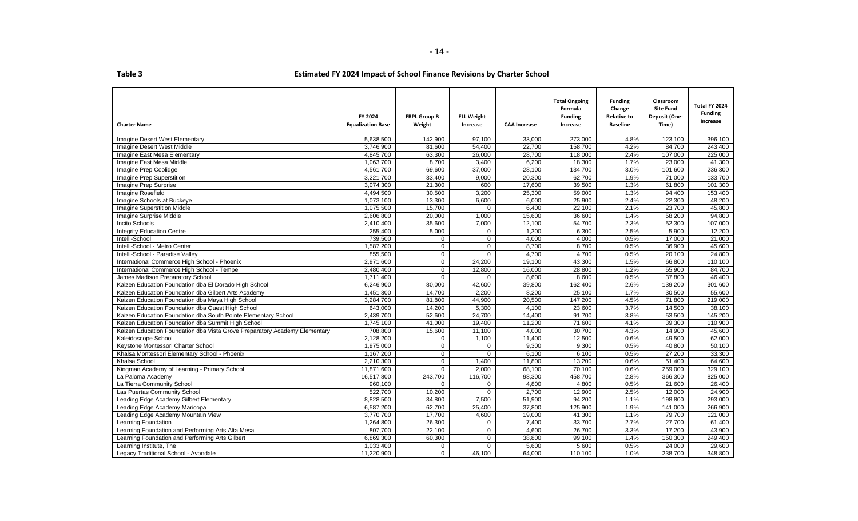| able |  |  |
|------|--|--|
|      |  |  |

| <b>Charter Name</b>                                                        | FY 2024<br><b>Equalization Base</b> | <b>FRPL Group B</b><br>Weight | <b>ELL Weight</b><br>Increase | <b>CAA Increase</b> | <b>Total Ongoing</b><br>Formula<br><b>Funding</b><br>Increase | <b>Funding</b><br>Change<br><b>Relative to</b><br><b>Baseline</b> | Classroom<br><b>Site Fund</b><br>Deposit (One-<br>Time) | Total FY 2024<br><b>Funding</b><br>Increase |
|----------------------------------------------------------------------------|-------------------------------------|-------------------------------|-------------------------------|---------------------|---------------------------------------------------------------|-------------------------------------------------------------------|---------------------------------------------------------|---------------------------------------------|
| <b>Imagine Desert West Elementary</b>                                      | 5,638,500                           | 142.900                       | 97,100                        | 33,000              | 273.000                                                       | 4.8%                                                              | 123,100                                                 | 396,100                                     |
| Imagine Desert West Middle                                                 | 3.746.900                           | 81,600                        | 54,400                        | 22,700              | 158,700                                                       | 4.2%                                                              | 84.700                                                  | 243.400                                     |
| Imagine East Mesa Elementary                                               | 4,845,700                           | 63,300                        | 26,000                        | 28,700              | 118,000                                                       | 2.4%                                                              | 107,000                                                 | 225,000                                     |
| Imagine East Mesa Middle                                                   | 1,063,700                           | 8,700                         | 3,400                         | 6,200               | 18,300                                                        | 1.7%                                                              | 23,000                                                  | 41.300                                      |
| Imagine Prep Coolidge                                                      | 4,561,700                           | 69,600                        | 37,000                        | 28,100              | 134,700                                                       | 3.0%                                                              | 101,600                                                 | 236,300                                     |
| Imagine Prep Superstition                                                  | 3,221,700                           | 33,400                        | 9,000                         | 20,300              | 62,700                                                        | 1.9%                                                              | 71,000                                                  | 133,700                                     |
| Imagine Prep Surprise                                                      | 3,074,300                           | 21,300                        | 600                           | 17,600              | 39,500                                                        | 1.3%                                                              | 61,800                                                  | 101,300                                     |
| Imagine Rosefield                                                          | 4,494,500                           | 30,500                        | 3,200                         | 25,300              | 59,000                                                        | 1.3%                                                              | 94,400                                                  | 153,400                                     |
| Imagine Schools at Buckeye                                                 | 1,073,100                           | 13,300                        | 6,600                         | 6,000               | 25,900                                                        | 2.4%                                                              | 22.300                                                  | 48.200                                      |
| <b>Imagine Superstition Middle</b>                                         | 1,075,500                           | 15,700                        | $\Omega$                      | 6,400               | 22,100                                                        | 2.1%                                                              | 23,700                                                  | 45,800                                      |
| Imagine Surprise Middle                                                    | 2,606,800                           | 20,000                        | 1,000                         | 15,600              | 36,600                                                        | 1.4%                                                              | 58,200                                                  | 94.800                                      |
| <b>Incito Schools</b>                                                      | 2,410,400                           | 35,600                        | 7,000                         | 12,100              | 54,700                                                        | 2.3%                                                              | 52,300                                                  | 107,000                                     |
| <b>Integrity Education Centre</b>                                          | 255.400                             | 5,000                         | $\mathbf 0$                   | 1.300               | 6,300                                                         | 2.5%                                                              | 5.900                                                   | 12,200                                      |
| Intelli-School                                                             | 739,500                             | $\mathbf 0$                   | $\mathbf 0$                   | 4,000               | 4,000                                                         | 0.5%                                                              | 17,000                                                  | 21,000                                      |
| Intelli-School - Metro Center                                              | 1,587,200                           | $\mathbf 0$                   | 0                             | 8,700               | 8,700                                                         | 0.5%                                                              | 36,900                                                  | 45,600                                      |
| Intelli-School - Paradise Valley                                           | 855,500                             | $\overline{0}$                | $\overline{0}$                | 4,700               | 4,700                                                         | 0.5%                                                              | 20,100                                                  | 24,800                                      |
| International Commerce High School - Phoenix                               | 2,971,600                           | $\mathbf 0$                   | 24,200                        | 19,100              | 43,300                                                        | 1.5%                                                              | 66,800                                                  | 110,100                                     |
| International Commerce High School - Tempe                                 | 2,480,400                           | $\mathbf 0$                   | 12,800                        | 16,000              | 28,800                                                        | 1.2%                                                              | 55,900                                                  | 84,700                                      |
| James Madison Preparatory School                                           | 1,711,400                           | $\mathbf 0$                   | 0                             | 8,600               | 8,600                                                         | 0.5%                                                              | 37,800                                                  | 46,400                                      |
| Kaizen Education Foundation dba El Dorado High School                      | 6,246,900                           | 80,000                        | 42,600                        | 39,800              | 162,400                                                       | 2.6%                                                              | 139,200                                                 | 301,600                                     |
| Kaizen Education Foundation dba Gilbert Arts Academy                       | 1,451,300                           | 14,700                        | 2,200                         | 8,200               | 25,100                                                        | 1.7%                                                              | 30,500                                                  | 55,600                                      |
| Kaizen Education Foundation dba Maya High School                           | 3,284,700                           | 81,800                        | 44,900                        | 20,500              | 147,200                                                       | 4.5%                                                              | 71,800                                                  | 219,000                                     |
| Kaizen Education Foundation dba Quest High School                          | 643,000                             | 14,200                        | 5,300                         | 4,100               | 23,600                                                        | 3.7%                                                              | 14,500                                                  | 38,100                                      |
| Kaizen Education Foundation dba South Pointe Elementary School             | 2,439,700                           | 52,600                        | 24,700                        | 14,400              | 91,700                                                        | 3.8%                                                              | 53,500                                                  | 145,200                                     |
| Kaizen Education Foundation dba Summit High School                         | 1,745,100                           | 41,000                        | 19,400                        | 11,200              | 71,600                                                        | 4.1%                                                              | 39,300                                                  | 110,900                                     |
| Kaizen Education Foundation dba Vista Grove Preparatory Academy Elementary | 708,800                             | 15,600                        | 11,100                        | 4,000               | 30,700                                                        | 4.3%                                                              | 14,900                                                  | 45,600                                      |
| Kaleidoscope School                                                        | 2.128.200                           | $\Omega$                      | 1,100                         | 11,400              | 12,500                                                        | 0.6%                                                              | 49.500                                                  | 62,000                                      |
| Keystone Montessori Charter School                                         | 1,975,000                           | $\overline{0}$                | $\mathbf 0$                   | 9,300               | 9,300                                                         | 0.5%                                                              | 40,800                                                  | 50,100                                      |
| Khalsa Montessori Elementary School - Phoenix                              | 1,167,200                           | $\overline{0}$                | $\overline{0}$                | 6,100               | 6,100                                                         | 0.5%                                                              | 27,200                                                  | 33,300                                      |
| Khalsa School                                                              | 2,210,300                           | $\overline{0}$                | 1,400                         | 11,800              | 13,200                                                        | 0.6%                                                              | 51,400                                                  | 64,600                                      |
| Kingman Academy of Learning - Primary School                               | 11,871,600                          | $\Omega$                      | 2,000                         | 68,100              | 70.100                                                        | 0.6%                                                              | 259,000                                                 | 329,100                                     |
| La Paloma Academy                                                          | 16,517,800                          | 243,700                       | 116,700                       | 98,300              | 458,700                                                       | 2.8%                                                              | 366,300                                                 | 825,000                                     |
| La Tierra Community School                                                 | 960,100                             | $\Omega$                      | $\mathbf 0$                   | 4,800               | 4,800                                                         | 0.5%                                                              | 21,600                                                  | 26,400                                      |
| Las Puertas Community School                                               | 522.700                             | 10.200                        | $\Omega$                      | 2,700               | 12.900                                                        | 2.5%                                                              | 12.000                                                  | 24.900                                      |
| Leading Edge Academy Gilbert Elementary                                    | 8,828,500                           | 34,800                        | 7,500                         | 51,900              | 94.200                                                        | 1.1%                                                              | 198,800                                                 | 293.000                                     |
| Leading Edge Academy Maricopa                                              | 6,587,200                           | 62,700                        | 25,400                        | 37,800              | 125,900                                                       | 1.9%                                                              | 141,000                                                 | 266.900                                     |
| Leading Edge Academy Mountain View                                         | 3,770,700                           | 17,700                        | 4,600                         | 19,000              | 41,300                                                        | 1.1%                                                              | 79,700                                                  | 121,000                                     |
| Learning Foundation                                                        | 1,264,800                           | 26,300                        | $\mathbf 0$                   | 7,400               | 33,700                                                        | 2.7%                                                              | 27,700                                                  | 61,400                                      |
| Learning Foundation and Performing Arts Alta Mesa                          | 807,700                             | 22,100                        | $\mathbf 0$                   | 4,600               | 26,700                                                        | 3.3%                                                              | 17,200                                                  | 43,900                                      |
| Learning Foundation and Performing Arts Gilbert                            | 6,869,300                           | 60,300                        | 0                             | 38,800              | 99,100                                                        | 1.4%                                                              | 150,300                                                 | 249,400                                     |
| Learning Institute, The                                                    | 1,033,400                           | $\mathbf 0$                   | $\mathbf 0$                   | 5,600               | 5,600                                                         | 0.5%                                                              | 24,000                                                  | 29,600                                      |
| Legacy Traditional School - Avondale                                       | 11,220,900                          | $\mathbf{0}$                  | 46,100                        | 64,000              | 110,100                                                       | 1.0%                                                              | 238,700                                                 | 348,800                                     |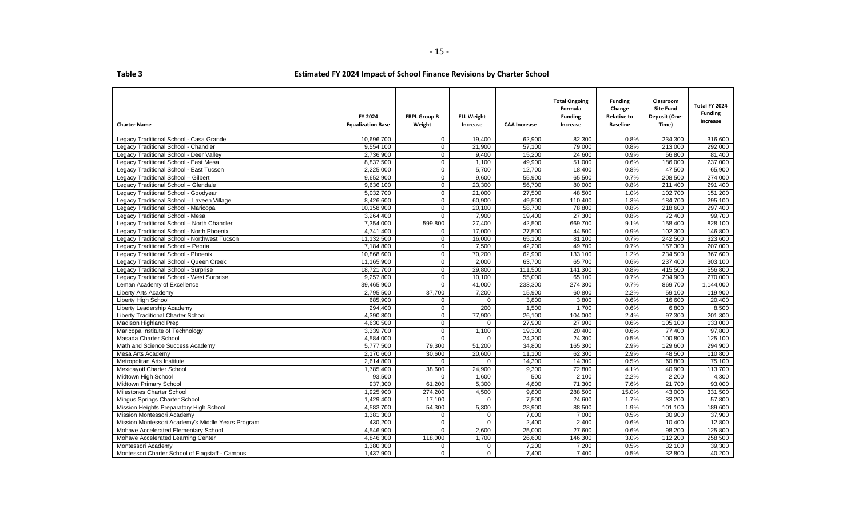| <b>Charter Name</b>                               | FY 2024<br><b>Equalization Base</b> | <b>FRPL Group B</b><br>Weight | <b>ELL Weight</b><br>Increase | <b>CAA Increase</b> | <b>Total Ongoing</b><br>Formula<br><b>Funding</b><br>Increase | <b>Funding</b><br>Change<br><b>Relative to</b><br><b>Baseline</b> | Classroom<br><b>Site Fund</b><br>Deposit (One-<br>Time) | Total FY 2024<br><b>Funding</b><br>Increase |
|---------------------------------------------------|-------------------------------------|-------------------------------|-------------------------------|---------------------|---------------------------------------------------------------|-------------------------------------------------------------------|---------------------------------------------------------|---------------------------------------------|
| Legacy Traditional School - Casa Grande           | 10,696,700                          | $\mathbf 0$                   | 19,400                        | 62,900              | 82,300                                                        | 0.8%                                                              | 234,300                                                 | 316,600                                     |
| Legacy Traditional School - Chandler              | 9,554,100                           | $\Omega$                      | 21,900                        | 57.100              | 79.000                                                        | 0.8%                                                              | 213,000                                                 | 292.000                                     |
| Legacy Traditional School - Deer Valley           | 2,736,900                           | $\mathbf 0$                   | 9,400                         | 15,200              | 24,600                                                        | 0.9%                                                              | 56,800                                                  | 81,400                                      |
| Legacy Traditional School - East Mesa             | 8,837,500                           | $\mathbf 0$                   | 1,100                         | 49,900              | 51,000                                                        | 0.6%                                                              | 186,000                                                 | 237,000                                     |
| Legacy Traditional School - East Tucson           | 2,225,000                           | $\mathbf 0$                   | 5,700                         | 12,700              | 18,400                                                        | 0.8%                                                              | 47,500                                                  | 65.900                                      |
| Legacy Traditional School - Gilbert               | 9,652,900                           | 0                             | 9,600                         | 55,900              | 65,500                                                        | 0.7%                                                              | 208,500                                                 | 274,000                                     |
| Legacy Traditional School - Glendale              | 9,636,100                           | $\overline{0}$                | 23,300                        | 56,700              | 80,000                                                        | 0.8%                                                              | 211,400                                                 | 291,400                                     |
| Legacy Traditional School - Goodyear              | 5,032,700                           | $\overline{0}$                | 21,000                        | 27,500              | 48,500                                                        | 1.0%                                                              | 102,700                                                 | 151,200                                     |
| Legacy Traditional School - Laveen Village        | 8,426,600                           | $\overline{0}$                | 60,900                        | 49,500              | 110,400                                                       | 1.3%                                                              | 184,700                                                 | 295,100                                     |
| Legacy Traditional School - Maricopa              | 10,158,900                          | $\mathbf{0}$                  | 20,100                        | 58,700              | 78,800                                                        | 0.8%                                                              | 218,600                                                 | 297,400                                     |
| Legacy Traditional School - Mesa                  | 3,264,400                           | $\Omega$                      | 7,900                         | 19.400              | 27.300                                                        | 0.8%                                                              | 72.400                                                  | 99.700                                      |
| Legacy Traditional School - North Chandler        | 7,354,000                           | 599,800                       | 27,400                        | 42,500              | 669,700                                                       | 9.1%                                                              | 158,400                                                 | 828,100                                     |
| Legacy Traditional School - North Phoenix         | 4,741,400                           | $\mathbf 0$                   | 17,000                        | 27,500              | 44,500                                                        | 0.9%                                                              | 102,300                                                 | 146,800                                     |
| Legacy Traditional School - Northwest Tucson      | 11,132,500                          | $\mathbf{0}$                  | 16,000                        | 65,100              | 81,100                                                        | 0.7%                                                              | 242,500                                                 | 323,600                                     |
| Legacy Traditional School - Peoria                | 7,184,800                           | $\mathbf 0$                   | 7,500                         | 42,200              | 49,700                                                        | 0.7%                                                              | 157,300                                                 | 207,000                                     |
| Legacy Traditional School - Phoenix               | 10,868,600                          | $\overline{0}$                | 70.200                        | 62.900              | 133,100                                                       | 1.2%                                                              | 234.500                                                 | 367.600                                     |
| Legacy Traditional School - Queen Creek           | 11,165,900                          | $\mathbf{0}$                  | 2.000                         | 63,700              | 65,700                                                        | 0.6%                                                              | 237.400                                                 | 303,100                                     |
| Legacy Traditional School - Surprise              | 18,721,700                          | $\mathbf 0$                   | 29,800                        | 111,500             | 141,300                                                       | 0.8%                                                              | 415,500                                                 | 556,800                                     |
| Legacy Traditional School - West Surprise         | 9,257,800                           | 0                             | 10,100                        | 55,000              | 65,100                                                        | 0.7%                                                              | 204,900                                                 | 270,000                                     |
| Leman Academy of Excellence                       | 39,465,900                          | $\Omega$                      | 41,000                        | 233,300             | 274,300                                                       | 0.7%                                                              | 869,700                                                 | 1,144,000                                   |
| Liberty Arts Academy                              | 2,795,500                           | 37,700                        | 7,200                         | 15,900              | 60,800                                                        | 2.2%                                                              | 59,100                                                  | 119,900                                     |
| <b>Liberty High School</b>                        | 685,900                             | $\Omega$                      | $\Omega$                      | 3,800               | 3,800                                                         | 0.6%                                                              | 16,600                                                  | 20,400                                      |
| Liberty Leadership Academy                        | 294,400                             | 0                             | 200                           | 1,500               | 1,700                                                         | 0.6%                                                              | 6,800                                                   | 8,500                                       |
| <b>Liberty Traditional Charter School</b>         | 4,390,800                           | 0                             | 77,900                        | 26,100              | 104,000                                                       | 2.4%                                                              | 97,300                                                  | 201,300                                     |
| <b>Madison Highland Prep</b>                      | 4,630,500                           | $\mathbf 0$                   | $\mathbf 0$                   | 27,900              | 27,900                                                        | 0.6%                                                              | 105,100                                                 | 133,000                                     |
| Maricopa Institute of Technology                  | 3,339,700                           | $\mathbf{0}$                  | 1,100                         | 19,300              | 20,400                                                        | 0.6%                                                              | 77,400                                                  | 97,800                                      |
| Masada Charter School                             | 4.584.000                           | $\Omega$                      | $\Omega$                      | 24.300              | 24.300                                                        | 0.5%                                                              | 100.800                                                 | 125.100                                     |
| Math and Science Success Academy                  | 5,777,500                           | 79,300                        | 51,200                        | 34,800              | 165,300                                                       | 2.9%                                                              | 129,600                                                 | 294,900                                     |
| Mesa Arts Academy                                 | 2,170,600                           | 30,600                        | 20,600                        | 11,100              | 62,300                                                        | 2.9%                                                              | 48,500                                                  | 110,800                                     |
| Metropolitan Arts Institute                       | 2,614,800                           | $\mathbf 0$                   | $\mathbf 0$                   | 14,300              | 14,300                                                        | 0.5%                                                              | 60,800                                                  | 75,100                                      |
| <b>Mexicayotl Charter School</b>                  | 1,785,400                           | 38,600                        | 24,900                        | 9,300               | 72,800                                                        | 4.1%                                                              | 40,900                                                  | 113,700                                     |
| Midtown High School                               | 93,500                              | $\Omega$                      | 1,600                         | 500                 | 2,100                                                         | 2.2%                                                              | 2,200                                                   | 4,300                                       |
| Midtown Primary School                            | 937,300                             | 61,200                        | 5,300                         | 4,800               | 71,300                                                        | 7.6%                                                              | 21,700                                                  | 93,000                                      |
| <b>Milestones Charter School</b>                  | 1,925,900                           | 274,200                       | 4,500                         | 9,800               | 288,500                                                       | 15.0%                                                             | 43,000                                                  | 331,500                                     |
| Mingus Springs Charter School                     | 1,429,400                           | 17,100                        | $\mathbf 0$                   | 7,500               | 24,600                                                        | 1.7%                                                              | 33,200                                                  | 57,800                                      |
| Mission Heights Preparatory High School           | 4,583,700                           | 54,300                        | 5,300                         | 28,900              | 88,500                                                        | 1.9%                                                              | 101,100                                                 | 189,600                                     |
| Mission Montessori Academy                        | 1,381,300                           | $\mathbf{0}$                  | 0                             | 7,000               | 7,000                                                         | 0.5%                                                              | 30,900                                                  | 37,900                                      |
| Mission Montessori Academy's Middle Years Program | 430,200                             | $\overline{0}$                | $\Omega$                      | 2,400               | 2,400                                                         | 0.6%                                                              | 10,400                                                  | 12,800                                      |
| Mohave Accelerated Elementary School              | 4,546,900                           | $\mathbf{0}$                  | 2,600                         | 25,000              | 27,600                                                        | 0.6%                                                              | 98,200                                                  | 125,800                                     |
| Mohave Accelerated Learning Center                | 4,846,300                           | 118,000                       | 1,700                         | 26.600              | 146,300                                                       | 3.0%                                                              | 112,200                                                 | 258.500                                     |
| Montessori Academy                                | 1,380,300                           | $\mathbf{0}$                  | $\mathbf 0$                   | 7,200               | 7,200                                                         | 0.5%                                                              | 32,100                                                  | 39,300                                      |
| Montessori Charter School of Flagstaff - Campus   | 1,437,900                           | $\mathbf 0$                   | $\mathbf 0$                   | 7,400               | 7,400                                                         | 0.5%                                                              | 32,800                                                  | 40,200                                      |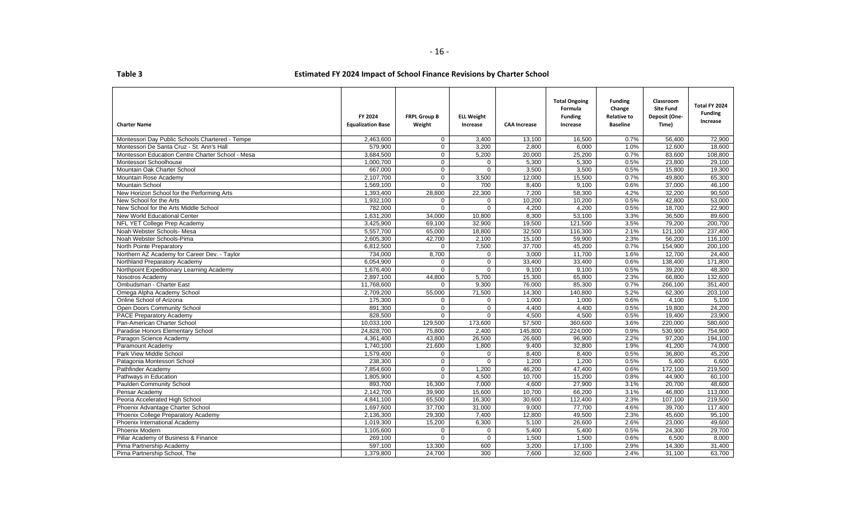| <b>Charter Name</b>                               | FY 2024<br><b>Equalization Base</b> | <b>FRPL Group B</b><br>Weight | <b>ELL Weight</b><br>Increase | <b>CAA Increase</b> | <b>Total Ongoing</b><br>Formula<br><b>Funding</b><br>Increase | <b>Funding</b><br>Change<br><b>Relative to</b><br><b>Baseline</b> | Classroom<br><b>Site Fund</b><br>Deposit (One-<br>Time) | Total FY 2024<br><b>Funding</b><br>Increase |
|---------------------------------------------------|-------------------------------------|-------------------------------|-------------------------------|---------------------|---------------------------------------------------------------|-------------------------------------------------------------------|---------------------------------------------------------|---------------------------------------------|
| Montessori Day Public Schools Chartered - Tempe   | 2,463,600                           | $\mathbf{0}$                  | 3,400                         | 13,100              | 16,500                                                        | 0.7%                                                              | 56,400                                                  | 72,900                                      |
| Montessori De Santa Cruz - St. Ann's Hall         | 579,900                             | $\Omega$                      | 3,200                         | 2,800               | 6,000                                                         | 1.0%                                                              | 12,600                                                  | 18.600                                      |
| Montessori Education Centre Charter School - Mesa | 3,684,500                           | $\Omega$                      | 5,200                         | 20,000              | 25,200                                                        | 0.7%                                                              | 83,600                                                  | 108,800                                     |
| Montessori Schoolhouse                            | 1.000.700                           | $\Omega$                      | $\mathbf 0$                   | 5,300               | 5,300                                                         | 0.5%                                                              | 23,800                                                  | 29,100                                      |
| Mountain Oak Charter School                       | 667,000                             | $\Omega$                      | $\Omega$                      | 3,500               | 3,500                                                         | 0.5%                                                              | 15,800                                                  | 19,300                                      |
| Mountain Rose Academy                             | 2,107,700                           | $\overline{0}$                | 3,500                         | 12,000              | 15,500                                                        | 0.7%                                                              | 49,800                                                  | 65,300                                      |
| <b>Mountain School</b>                            | 1,569,100                           | $\mathbf 0$                   | 700                           | 8,400               | 9,100                                                         | 0.6%                                                              | 37,000                                                  | 46,100                                      |
| New Horizon School for the Performing Arts        | 1,393,400                           | 28,800                        | 22,300                        | 7,200               | 58,300                                                        | 4.2%                                                              | 32,200                                                  | 90,500                                      |
| New School for the Arts                           | 1,932,100                           | $\Omega$                      | $\mathbf{0}$                  | 10,200              | 10,200                                                        | 0.5%                                                              | 42.800                                                  | 53,000                                      |
| New School for the Arts Middle School             | 782,000                             | $\Omega$                      | $\mathbf 0$                   | 4,200               | 4,200                                                         | 0.5%                                                              | 18,700                                                  | 22,900                                      |
| New World Educational Center                      | 1.631.200                           | 34.000                        | 10.800                        | 8.300               | 53,100                                                        | 3.3%                                                              | 36.500                                                  | 89.600                                      |
| NFL YET College Prep Academy                      | 3,425,900                           | 69,100                        | 32,900                        | 19,500              | 121,500                                                       | 3.5%                                                              | 79,200                                                  | 200,700                                     |
| Noah Webster Schools- Mesa                        | 5,557,700                           | 65,000                        | 18,800                        | 32,500              | 116,300                                                       | 2.1%                                                              | 121,100                                                 | 237,400                                     |
| Noah Webster Schools-Pima                         | 2,605,300                           | 42,700                        | 2,100                         | 15,100              | 59,900                                                        | 2.3%                                                              | 56,200                                                  | 116,100                                     |
| North Pointe Preparatory                          | 6,812,500                           | $\mathbf 0$                   | 7,500                         | 37,700              | 45,200                                                        | 0.7%                                                              | 154,900                                                 | 200,100                                     |
| Northern AZ Academy for Career Dev. - Taylor      | 734,000                             | 8,700                         | $\mathbf{0}$                  | 3,000               | 11,700                                                        | 1.6%                                                              | 12,700                                                  | 24,400                                      |
| Northland Preparatory Academy                     | 6,054,900                           | $\mathbf 0$                   | $\mathbf 0$                   | 33,400              | 33,400                                                        | 0.6%                                                              | 138,400                                                 | 171,800                                     |
| Northpoint Expeditionary Learning Academy         | 1,676,400                           | $\mathbf 0$                   | $\mathbf 0$                   | 9,100               | 9,100                                                         | 0.5%                                                              | 39.200                                                  | 48,300                                      |
| Nosotros Academy                                  | 2,897,100                           | 44,800                        | 5,700                         | 15,300              | 65,800                                                        | 2.3%                                                              | 66,800                                                  | 132,600                                     |
| Ombudsman - Charter East                          | 11,768,600                          | $\Omega$                      | 9,300                         | 76,000              | 85,300                                                        | 0.7%                                                              | 266,100                                                 | 351,400                                     |
| Omega Alpha Academy School                        | 2,709,200                           | 55,000                        | 71,500                        | 14,300              | 140,800                                                       | 5.2%                                                              | 62,300                                                  | 203,100                                     |
| Online School of Arizona                          | 175.300                             | $\Omega$                      | $\Omega$                      | 1.000               | 1,000                                                         | 0.6%                                                              | 4.100                                                   | 5,100                                       |
| Open Doors Community School                       | 891,300                             | $\mathbf{0}$                  | $\mathbf 0$                   | 4,400               | 4,400                                                         | 0.5%                                                              | 19,800                                                  | 24,200                                      |
| PACE Preparatory Academy                          | 828,500                             | $\mathbf 0$                   | $\mathbf 0$                   | 4,500               | 4,500                                                         | 0.5%                                                              | 19,400                                                  | 23,900                                      |
| Pan-American Charter School                       | 10,033,100                          | 129,500                       | 173,600                       | 57,500              | 360,600                                                       | 3.6%                                                              | 220,000                                                 | 580,600                                     |
| Paradise Honors Elementary School                 | 24,828,700                          | 75,800                        | 2,400                         | 145,800             | 224,000                                                       | 0.9%                                                              | 530,900                                                 | 754,900                                     |
| Paragon Science Academy                           | 4,361,400                           | 43.800                        | 26,500                        | 26.600              | 96.900                                                        | 2.2%                                                              | 97.200                                                  | 194.100                                     |
| Paramount Academy                                 | 1,740,100                           | 21,600                        | 1,800                         | 9,400               | 32,800                                                        | 1.9%                                                              | 41.200                                                  | 74,000                                      |
| Park View Middle School                           | 1,579,400                           | $\mathbf 0$                   | 0                             | 8,400               | 8,400                                                         | 0.5%                                                              | 36,800                                                  | 45,200                                      |
| Patagonia Montessori School                       | 238,300                             | $\mathbf 0$                   | $\mathbf 0$                   | 1,200               | 1,200                                                         | 0.5%                                                              | 5,400                                                   | 6,600                                       |
| Pathfinder Academy                                | 7,854,600                           | $\Omega$                      | 1,200                         | 46,200              | 47,400                                                        | 0.6%                                                              | 172,100                                                 | 219,500                                     |
| Pathways in Education                             | 1,805,900                           | $\Omega$                      | 4,500                         | 10,700              | 15,200                                                        | 0.8%                                                              | 44,900                                                  | 60,100                                      |
| Paulden Community School                          | 893,700                             | 16,300                        | 7,000                         | 4.600               | 27,900                                                        | 3.1%                                                              | 20.700                                                  | 48,600                                      |
| Pensar Academy                                    | 2,142,700                           | 39,900                        | 15,600                        | 10,700              | 66,200                                                        | 3.1%                                                              | 46,800                                                  | 113,000                                     |
| Peoria Accelerated High School                    | 4,841,100                           | 65,500                        | 16,300                        | 30,600              | 112,400                                                       | 2.3%                                                              | 107,100                                                 | 219,500                                     |
| Phoenix Advantage Charter School                  | 1,697,600                           | 37,700                        | 31,000                        | 9,000               | 77,700                                                        | 4.6%                                                              | 39,700                                                  | 117,400                                     |
| Phoenix College Preparatory Academy               | 2,136,300                           | 29,300                        | 7,400                         | 12,800              | 49,500                                                        | 2.3%                                                              | 45,600                                                  | 95,100                                      |
| Phoenix International Academy                     | 1,019,300                           | 15,200                        | 6,300                         | 5,100               | 26,600                                                        | 2.6%                                                              | 23.000                                                  | 49,600                                      |
| Phoenix Modern                                    | 1,105,600                           | $\mathbf{0}$                  | $\mathbf 0$                   | 5,400               | 5,400                                                         | 0.5%                                                              | 24,300                                                  | 29,700                                      |
| Pillar Academy of Business & Finance              | 269.100                             | $\overline{0}$                | $\overline{0}$                | 1,500               | 1.500                                                         | 0.6%                                                              | 6.500                                                   | 8.000                                       |
| Pima Partnership Academy                          | $\overline{597}$ , 100              | 13,300                        | 600                           | 3,200               | 17,100                                                        | 2.9%                                                              | 14,300                                                  | 31,400                                      |
| Pima Partnership School, The                      | 1,379,800                           | 24,700                        | 300                           | 7.600               | 32,600                                                        | 2.4%                                                              | 31,100                                                  | 63,700                                      |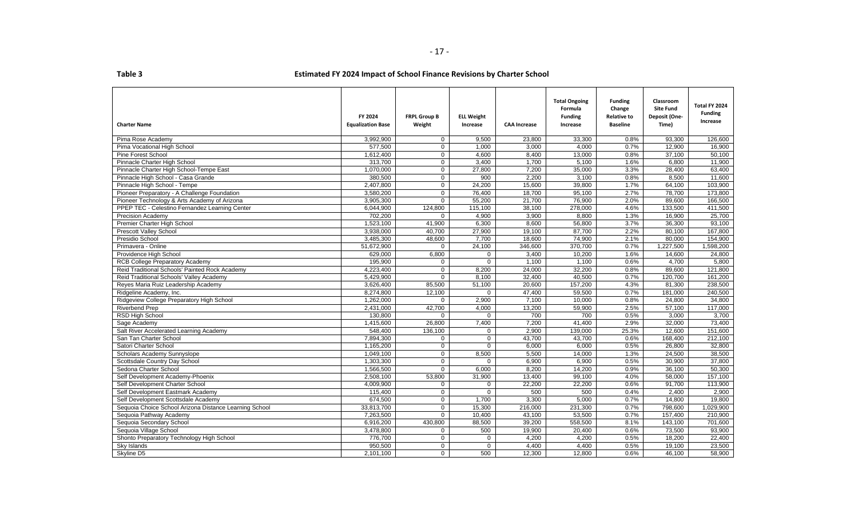| <b>Charter Name</b>                                    | FY 2024<br><b>Equalization Base</b> | <b>FRPL Group B</b><br>Weight | <b>ELL Weight</b><br>Increase | <b>CAA Increase</b> | <b>Total Ongoing</b><br>Formula<br><b>Funding</b><br>Increase | <b>Funding</b><br>Change<br><b>Relative to</b><br><b>Baseline</b> | Classroom<br><b>Site Fund</b><br>Deposit (One-<br>Time) | Total FY 2024<br><b>Funding</b><br>Increase |
|--------------------------------------------------------|-------------------------------------|-------------------------------|-------------------------------|---------------------|---------------------------------------------------------------|-------------------------------------------------------------------|---------------------------------------------------------|---------------------------------------------|
| Pima Rose Academy                                      | 3,992,900                           | $\mathbf{0}$                  | 9,500                         | 23,800              | 33,300                                                        | 0.8%                                                              | 93,300                                                  | 126,600                                     |
| Pima Vocational High School                            | 577,500                             | $\overline{0}$                | 1,000                         | 3,000               | 4,000                                                         | 0.7%                                                              | 12,900                                                  | 16,900                                      |
| <b>Pine Forest School</b>                              | 1,612,400                           | $\mathbf{0}$                  | 4,600                         | 8,400               | 13,000                                                        | 0.8%                                                              | 37,100                                                  | 50.100                                      |
| Pinnacle Charter High School                           | 313,700                             | $\mathbf{0}$                  | 3,400                         | 1,700               | 5,100                                                         | 1.6%                                                              | 6.800                                                   | 11,900                                      |
| Pinnacle Charter High School-Tempe East                | 1,070,000                           | $\mathbf 0$                   | 27,800                        | 7,200               | 35,000                                                        | 3.3%                                                              | 28,400                                                  | 63,400                                      |
| Pinnacle High School - Casa Grande                     | 380,500                             | $\mathbf 0$                   | 900                           | 2.200               | 3,100                                                         | 0.8%                                                              | 8,500                                                   | 11,600                                      |
| Pinnacle High School - Tempe                           | 2.407.800                           | $\mathbf{0}$                  | 24.200                        | 15.600              | 39.800                                                        | 1.7%                                                              | 64.100                                                  | 103.900                                     |
| Pioneer Preparatory - A Challenge Foundation           | 3,580,200                           | $\mathbf 0$                   | 76,400                        | 18,700              | 95,100                                                        | 2.7%                                                              | 78,700                                                  | 173,800                                     |
| Pioneer Technology & Arts Academy of Arizona           | 3,905,300                           | $\Omega$                      | 55,200                        | 21,700              | 76,900                                                        | 2.0%                                                              | 89,600                                                  | 166,500                                     |
| PPEP TEC - Celestino Fernandez Learning Center         | 6,044,900                           | 124,800                       | 115,100                       | 38,100              | 278,000                                                       | 4.6%                                                              | 133,500                                                 | 411,500                                     |
| <b>Precision Academy</b>                               | 702,200                             | $\Omega$                      | 4,900                         | 3,900               | 8,800                                                         | 1.3%                                                              | 16,900                                                  | 25,700                                      |
| Premier Charter High School                            | 1,523,100                           | 41,900                        | 6,300                         | 8,600               | 56,800                                                        | 3.7%                                                              | 36.300                                                  | 93,100                                      |
| <b>Prescott Valley School</b>                          | 3,938,000                           | 40.700                        | 27,900                        | 19,100              | 87.700                                                        | 2.2%                                                              | 80.100                                                  | 167.800                                     |
| Presidio School                                        | 3,485,300                           | 48,600                        | 7,700                         | 18,600              | 74,900                                                        | 2.1%                                                              | 80,000                                                  | 154,900                                     |
| Primavera - Online                                     | 51,672,900                          | $\mathbf 0$                   | 24,100                        | 346,600             | 370,700                                                       | 0.7%                                                              | 1,227,500                                               | 1,598,200                                   |
| Providence High School                                 | 629,000                             | 6,800                         | $\mathbf{0}$                  | 3,400               | 10,200                                                        | 1.6%                                                              | 14,600                                                  | 24,800                                      |
| <b>RCB College Preparatory Academy</b>                 | 195,900                             | $\mathbf{0}$                  | $\overline{0}$                | 1,100               | 1,100                                                         | 0.6%                                                              | 4,700                                                   | 5,800                                       |
| Reid Traditional Schools' Painted Rock Academy         | 4,223,400                           | $\mathbf{0}$                  | 8,200                         | 24,000              | 32.200                                                        | 0.8%                                                              | 89,600                                                  | 121,800                                     |
| Reid Traditional Schools' Valley Academy               | 5,429,900                           | $\Omega$                      | 8,100                         | 32,400              | 40,500                                                        | 0.7%                                                              | 120,700                                                 | 161,200                                     |
| Reyes Maria Ruiz Leadership Academy                    | 3.626.400                           | 85.500                        | 51,100                        | 20.600              | 157.200                                                       | 4.3%                                                              | 81.300                                                  | 238.500                                     |
| Ridgeline Academy, Inc.                                | 8,274,800                           | 12,100                        | $\mathbf 0$                   | 47,400              | 59,500                                                        | 0.7%                                                              | 181,000                                                 | 240,500                                     |
| Ridgeview College Preparatory High School              | 1,262,000                           | $\Omega$                      | 2,900                         | 7,100               | 10,000                                                        | 0.8%                                                              | 24,800                                                  | 34,800                                      |
| <b>Riverbend Prep</b>                                  | 2,431,000                           | 42,700                        | 4,000                         | 13,200              | 59,900                                                        | 2.5%                                                              | 57,100                                                  | 117,000                                     |
| RSD High School                                        | 130,800                             | $\mathbf 0$                   | 0                             | 700                 | 700                                                           | 0.5%                                                              | 3,000                                                   | 3,700                                       |
| Sage Academy                                           | 1,415,600                           | 26,800                        | 7,400                         | 7,200               | 41,400                                                        | 2.9%                                                              | 32,000                                                  | 73,400                                      |
| Salt River Accelerated Learning Academy                | 548,400                             | 136,100                       | $\mathbf 0$                   | 2,900               | 139,000                                                       | 25.3%                                                             | 12,600                                                  | 151,600                                     |
| San Tan Charter School                                 | 7,894,300                           | $\overline{0}$                | $\mathbf 0$                   | 43,700              | 43,700                                                        | 0.6%                                                              | 168,400                                                 | 212,100                                     |
| Satori Charter School                                  | 1,165,200                           | $\mathbf 0$                   | $\mathbf 0$                   | 6,000               | 6,000                                                         | 0.5%                                                              | 26,800                                                  | 32,800                                      |
| Scholars Academy Sunnyslope                            | 1,049,100                           | $\overline{0}$                | 8,500                         | 5,500               | 14,000                                                        | 1.3%                                                              | 24,500                                                  | 38,500                                      |
| Scottsdale Country Day School                          | 1,303,300                           | $\mathbf{0}$                  | 0                             | 6,900               | 6,900                                                         | 0.5%                                                              | 30,900                                                  | 37,800                                      |
| Sedona Charter School                                  | 1,566,500                           | $\Omega$                      | 6,000                         | 8.200               | 14,200                                                        | 0.9%                                                              | 36.100                                                  | 50.300                                      |
| Self Development Academy-Phoenix                       | 2,508,100                           | 53,800                        | 31,900                        | 13,400              | 99,100                                                        | 4.0%                                                              | 58,000                                                  | 157,100                                     |
| Self Development Charter School                        | 4,009,900                           | $\Omega$                      | 0                             | 22,200              | 22,200                                                        | 0.6%                                                              | 91,700                                                  | 113,900                                     |
| Self Development Eastmark Academy                      | 115,400                             | $\mathbf 0$                   | $\mathbf 0$                   | 500                 | 500                                                           | 0.4%                                                              | 2,400                                                   | 2,900                                       |
| Self Development Scottsdale Academy                    | 674,500                             | $\mathbf 0$                   | 1,700                         | 3,300               | 5,000                                                         | 0.7%                                                              | 14,800                                                  | 19,800                                      |
| Sequoia Choice School Arizona Distance Learning School | 33,813,700                          | $\mathbf{0}$                  | 15,300                        | 216.000             | 231,300                                                       | 0.7%                                                              | 798.600                                                 | 1.029.900                                   |
| Sequoia Pathway Academy                                | 7,263,500                           | $\mathbf{0}$                  | 10.400                        | 43,100              | 53,500                                                        | 0.7%                                                              | 157,400                                                 | 210,900                                     |
| Sequoia Secondary School                               | 6,916,200                           | 430,800                       | 88,500                        | 39,200              | 558,500                                                       | 8.1%                                                              | 143,100                                                 | 701,600                                     |
| Sequoia Village School                                 | 3,478,800                           | $\mathbf{0}$                  | 500                           | 19,900              | 20,400                                                        | 0.6%                                                              | 73,500                                                  | 93,900                                      |
| Shonto Preparatory Technology High School              | 776.700                             | $\overline{0}$                | $\mathbf 0$                   | 4,200               | 4,200                                                         | 0.5%                                                              | 18.200                                                  | 22,400                                      |
| Sky Islands                                            | 950,500                             | $\mathbf{0}$                  | $\mathbf 0$                   | 4,400               | 4,400                                                         | 0.5%                                                              | 19,100                                                  | 23,500                                      |
| Skyline D5                                             | 2,101,100                           | $\mathbf 0$                   | 500                           | 12,300              | 12,800                                                        | 0.6%                                                              | 46,100                                                  | 58,900                                      |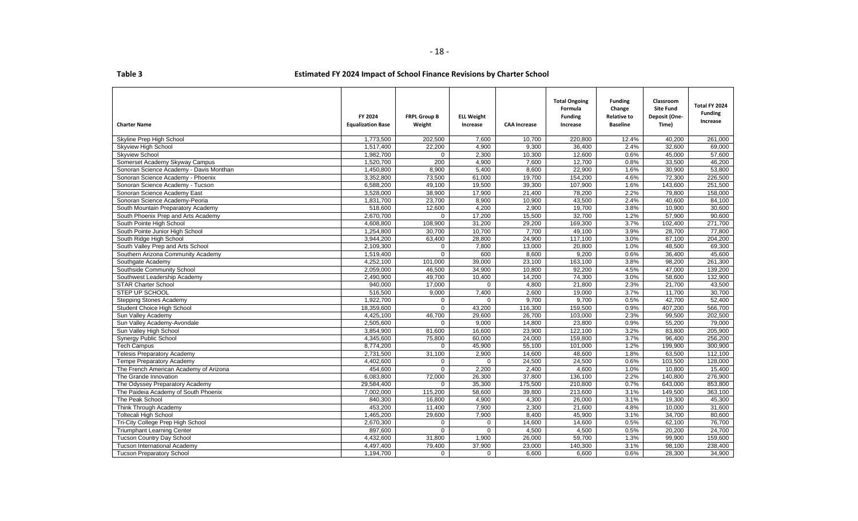| able . |  |  |
|--------|--|--|

| <b>Charter Name</b>                     | FY 2024<br><b>Equalization Base</b> | <b>FRPL Group B</b><br>Weight | <b>ELL Weight</b><br>Increase | <b>CAA Increase</b> | <b>Total Ongoing</b><br>Formula<br><b>Funding</b><br>Increase | <b>Funding</b><br>Change<br><b>Relative to</b><br><b>Baseline</b> | Classroom<br><b>Site Fund</b><br>Deposit (One-<br>Time) | Total FY 2024<br><b>Funding</b><br>Increase |
|-----------------------------------------|-------------------------------------|-------------------------------|-------------------------------|---------------------|---------------------------------------------------------------|-------------------------------------------------------------------|---------------------------------------------------------|---------------------------------------------|
| Skyline Prep High School                | 1,773,500                           | 202,500                       | 7,600                         | 10,700              | 220,800                                                       | 12.4%                                                             | 40,200                                                  | 261,000                                     |
| Skyview High School                     | 1,517,400                           | 22,200                        | 4,900                         | 9.300               | 36,400                                                        | 2.4%                                                              | 32,600                                                  | 69,000                                      |
| <b>Skyview School</b>                   | 1,982,700                           | 0                             | 2,300                         | 10,300              | 12,600                                                        | 0.6%                                                              | 45,000                                                  | 57,600                                      |
| Somerset Academy Skyway Campus          | 1.520.700                           | 200                           | 4,900                         | 7.600               | 12.700                                                        | 0.8%                                                              | 33.500                                                  | 46,200                                      |
| Sonoran Science Academy - Davis Monthan | 1,450,800                           | 8,900                         | 5,400                         | 8,600               | 22,900                                                        | 1.6%                                                              | 30,900                                                  | 53,800                                      |
| Sonoran Science Academy - Phoenix       | 3,352,800                           | 73,500                        | 61,000                        | 19,700              | 154,200                                                       | 4.6%                                                              | 72,300                                                  | 226,500                                     |
| Sonoran Science Academy - Tucson        | 6,588,200                           | 49,100                        | 19,500                        | 39,300              | 107,900                                                       | 1.6%                                                              | 143,600                                                 | 251,500                                     |
| Sonoran Science Academy East            | 3,528,000                           | 38,900                        | 17,900                        | 21,400              | 78,200                                                        | 2.2%                                                              | 79,800                                                  | 158,000                                     |
| Sonoran Science Academy-Peoria          | 1,831,700                           | 23,700                        | 8,900                         | 10,900              | 43,500                                                        | 2.4%                                                              | 40.600                                                  | 84,100                                      |
| South Mountain Preparatory Academy      | 518,600                             | 12,600                        | 4,200                         | 2,900               | 19,700                                                        | 3.8%                                                              | 10,900                                                  | 30,600                                      |
| South Phoenix Prep and Arts Academy     | 2,670,700                           | $\Omega$                      | 17,200                        | 15,500              | 32,700                                                        | 1.2%                                                              | 57,900                                                  | 90,600                                      |
| South Pointe High School                | 4,608,800                           | 108,900                       | 31,200                        | 29,200              | 169,300                                                       | 3.7%                                                              | 102,400                                                 | 271,700                                     |
| South Pointe Junior High School         | 1,254,800                           | 30,700                        | 10,700                        | 7,700               | 49,100                                                        | 3.9%                                                              | 28.700                                                  | 77,800                                      |
| South Ridge High School                 | 3,944,200                           | 63,400                        | 28,800                        | 24,900              | 117,100                                                       | 3.0%                                                              | 87,100                                                  | 204,200                                     |
| South Valley Prep and Arts School       | 2,109,300                           | 0                             | 7,800                         | 13,000              | 20,800                                                        | 1.0%                                                              | 48,500                                                  | 69,300                                      |
| Southern Arizona Community Academy      | 1,519,400                           | $\Omega$                      | 600                           | 8,600               | 9,200                                                         | 0.6%                                                              | 36,400                                                  | 45,600                                      |
| Southgate Academy                       | 4,252,100                           | 101,000                       | 39,000                        | 23,100              | 163,100                                                       | 3.8%                                                              | 98,200                                                  | 261,300                                     |
| Southside Community School              | 2.059.000                           | 46,500                        | 34,900                        | 10,800              | 92.200                                                        | 4.5%                                                              | 47.000                                                  | 139.200                                     |
| Southwest Leadership Academy            | 2,490,900                           | 49,700                        | 10,400                        | 14,200              | 74,300                                                        | 3.0%                                                              | 58,600                                                  | 132,900                                     |
| <b>STAR Charter School</b>              | 940.000                             | 17,000                        | $\Omega$                      | 4,800               | 21,800                                                        | 2.3%                                                              | 21.700                                                  | 43,500                                      |
| STEP UP SCHOOL                          | 516,500                             | 9,000                         | 7,400                         | 2,600               | 19,000                                                        | 3.7%                                                              | 11.700                                                  | 30,700                                      |
| <b>Stepping Stones Academy</b>          | 1,922,700                           | $\Omega$                      | $\Omega$                      | 9.700               | 9.700                                                         | 0.5%                                                              | 42.700                                                  | 52.400                                      |
| Student Choice High School              | 18,359,600                          | $\mathbf 0$                   | 43,200                        | 116,300             | 159,500                                                       | 0.9%                                                              | 407,200                                                 | 566,700                                     |
| Sun Valley Academy                      | 4,425,100                           | 46,700                        | 29,600                        | 26,700              | 103,000                                                       | 2.3%                                                              | 99,500                                                  | 202,500                                     |
| Sun Valley Academy-Avondale             | 2,505,600                           | $\mathbf 0$                   | 9,000                         | 14,800              | 23,800                                                        | 0.9%                                                              | 55,200                                                  | 79,000                                      |
| Sun Valley High School                  | 3,854,900                           | 81,600                        | 16,600                        | 23,900              | 122,100                                                       | 3.2%                                                              | 83,800                                                  | 205,900                                     |
| Synergy Public School                   | 4,345,600                           | 75,800                        | 60,000                        | 24,000              | 159,800                                                       | 3.7%                                                              | 96,400                                                  | 256,200                                     |
| <b>Tech Campus</b>                      | 8,774,200                           | $\mathbf 0$                   | 45,900                        | 55,100              | 101,000                                                       | 1.2%                                                              | 199,900                                                 | 300,900                                     |
| Telesis Preparatory Academy             | 2,731,500                           | 31,100                        | 2,900                         | 14,600              | 48,600                                                        | 1.8%                                                              | 63,500                                                  | 112,100                                     |
| <b>Tempe Preparatory Academy</b>        | 4,402,600                           | 0                             | $\mathbf 0$                   | 24,500              | 24,500                                                        | 0.6%                                                              | 103,500                                                 | 128,000                                     |
| The French American Academy of Arizona  | 454,600                             | $\Omega$                      | 2,200                         | 2,400               | 4,600                                                         | 1.0%                                                              | 10,800                                                  | 15,400                                      |
| The Grande Innovation                   | 6,083,800                           | 72,000                        | 26,300                        | 37,800              | 136,100                                                       | 2.2%                                                              | 140,800                                                 | 276,900                                     |
| The Odyssey Preparatory Academy         | 29,584,400                          | $\mathbf 0$                   | 35,300                        | 175,500             | 210,800                                                       | 0.7%                                                              | 643,000                                                 | 853,800                                     |
| The Paideia Academy of South Phoenix    | 7.002.000                           | 115.200                       | 58.600                        | 39,800              | 213,600                                                       | 3.1%                                                              | 149.500                                                 | 363,100                                     |
| The Peak School                         | 840,300                             | 16,800                        | 4,900                         | 4,300               | 26,000                                                        | 3.1%                                                              | 19,300                                                  | 45,300                                      |
| Think Through Academy                   | 453,200                             | 11,400                        | 7,900                         | 2,300               | 21,600                                                        | 4.8%                                                              | 10,000                                                  | 31,600                                      |
| <b>Toltecali High School</b>            | 1,465,200                           | 29,600                        | 7,900                         | 8.400               | 45,900                                                        | 3.1%                                                              | 34,700                                                  | 80,600                                      |
| Tri-City College Prep High School       | 2.670.300                           | $\mathbf 0$                   | $\mathbf 0$                   | 14,600              | 14,600                                                        | 0.5%                                                              | 62.100                                                  | 76.700                                      |
| <b>Triumphant Learning Center</b>       | 897,600                             | $\mathbf 0$                   | $\mathbf 0$                   | 4,500               | 4,500                                                         | 0.5%                                                              | 20,200                                                  | 24,700                                      |
| <b>Tucson Country Day School</b>        | 4,432,600                           | 31,800                        | 1,900                         | 26,000              | 59,700                                                        | 1.3%                                                              | 99,900                                                  | 159,600                                     |
| Tucson International Academy            | 4,497,400                           | 79,400                        | 37,900                        | 23,000              | 140,300                                                       | 3.1%                                                              | 98,100                                                  | 238,400                                     |
| <b>Tucson Preparatory School</b>        | 1,194,700                           | $\mathbf{0}$                  | $\mathbf 0$                   | 6,600               | 6,600                                                         | 0.6%                                                              | 28,300                                                  | 34,900                                      |